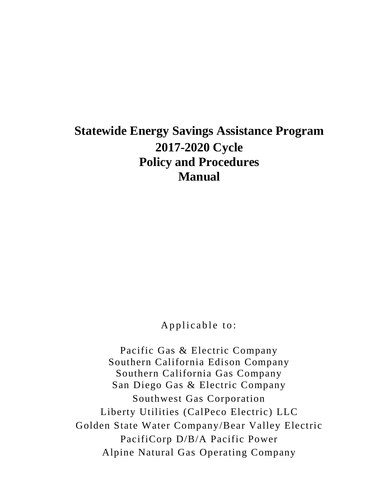# **Statewide Energy Savings Assistance Program 2017-2020 Cycle Policy and Procedures Manual**

Applicable to:

Pacific Gas & Electric Company Southern California Edison Company Southern California Gas Company San Diego Gas & Electric Company Southwest Gas Corporation Liberty Utilities (CalPeco Electric) LLC Golden State Water Company/Bear Valley Electric PacifiCorp D/B/A Pacific Power Alpine Natural Gas Operating Company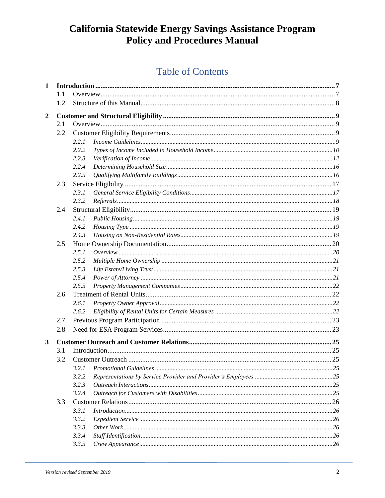# **Table of Contents**

| $\mathbf{1}$     |     |                           |  |
|------------------|-----|---------------------------|--|
|                  | 1.1 |                           |  |
|                  | 1.2 |                           |  |
| $\boldsymbol{2}$ |     |                           |  |
|                  | 2.1 |                           |  |
|                  | 2.2 |                           |  |
|                  |     | 2.2.1                     |  |
|                  |     | 2.2.2                     |  |
|                  |     | 2.2.3                     |  |
|                  |     | 2.2.4                     |  |
|                  |     | 2.2.5                     |  |
|                  | 2.3 |                           |  |
|                  |     | 2.3.1                     |  |
|                  |     | 2.3.2                     |  |
|                  | 2.4 |                           |  |
|                  |     | 2.4.1                     |  |
|                  |     | 2.4.2                     |  |
|                  |     | 2.4.3                     |  |
|                  | 2.5 |                           |  |
|                  |     | 2.5.1                     |  |
|                  |     | 2.5.2                     |  |
|                  |     | 2.5.3                     |  |
|                  |     | 2.5.4                     |  |
|                  |     | 2.5.5                     |  |
|                  | 2.6 |                           |  |
|                  |     | 2.6.1                     |  |
|                  |     | 2.6.2                     |  |
|                  | 2.7 |                           |  |
|                  | 2.8 |                           |  |
| 3                |     |                           |  |
|                  | 3.1 |                           |  |
|                  | 3.2 |                           |  |
|                  |     | 3.2.1                     |  |
|                  |     | 3.2.2                     |  |
|                  |     | 3.2.3                     |  |
|                  |     | 3.2.4                     |  |
|                  | 3.3 |                           |  |
|                  |     | 3.3.1<br>Introduction 126 |  |
|                  |     | 3.3.2                     |  |
|                  |     | 3.3.3                     |  |
|                  |     | 3.3.4                     |  |
|                  |     | 3.3.5                     |  |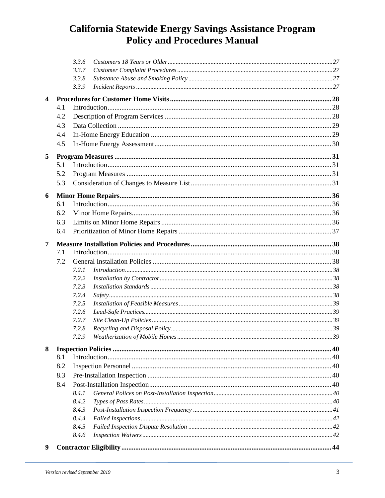|                         |     | 3.3.6                    |  |
|-------------------------|-----|--------------------------|--|
|                         |     | 3.3.7                    |  |
|                         |     | 3.3.8                    |  |
|                         |     | 3.3.9                    |  |
| $\overline{\mathbf{4}}$ |     |                          |  |
|                         | 4.1 |                          |  |
|                         | 4.2 |                          |  |
|                         | 4.3 |                          |  |
|                         | 4.4 |                          |  |
|                         | 4.5 |                          |  |
|                         |     |                          |  |
| 5                       |     |                          |  |
|                         | 5.1 |                          |  |
|                         | 5.2 |                          |  |
|                         | 5.3 |                          |  |
|                         |     |                          |  |
| 6                       | 6.1 |                          |  |
|                         |     |                          |  |
|                         | 6.2 |                          |  |
|                         | 6.3 |                          |  |
|                         | 6.4 |                          |  |
| 7                       |     |                          |  |
|                         | 7.1 |                          |  |
|                         | 7.2 |                          |  |
|                         |     | Introduction 38<br>7.2.1 |  |
|                         |     | 7.2.2                    |  |
|                         |     | 7.2.3                    |  |
|                         |     | 7.2.4                    |  |
|                         |     | 7.2.5                    |  |
|                         |     | 7.2.6                    |  |
|                         |     | 7.2.7                    |  |
|                         |     | 7.2.8                    |  |
|                         |     | 7.2.9                    |  |
| 8                       |     |                          |  |
|                         | 8.1 |                          |  |
|                         | 8.2 |                          |  |
|                         | 8.3 |                          |  |
|                         | 8.4 |                          |  |
|                         |     | 8.4.1                    |  |
|                         |     | 8.4.2                    |  |
|                         |     | 8.4.3                    |  |
|                         |     | 8.4.4                    |  |
|                         |     | 8.4.5                    |  |
|                         |     | 8.4.6                    |  |
|                         |     |                          |  |
| 9                       |     |                          |  |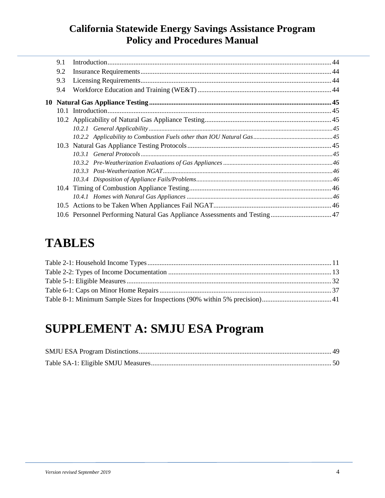| 9.1 |  |
|-----|--|
| 9.2 |  |
| 9.3 |  |
| 9.4 |  |
|     |  |
|     |  |
|     |  |
|     |  |
|     |  |
|     |  |
|     |  |
|     |  |
|     |  |
|     |  |
|     |  |
|     |  |
|     |  |
|     |  |

# **TABLES**

# **SUPPLEMENT A: SMJU ESA Program**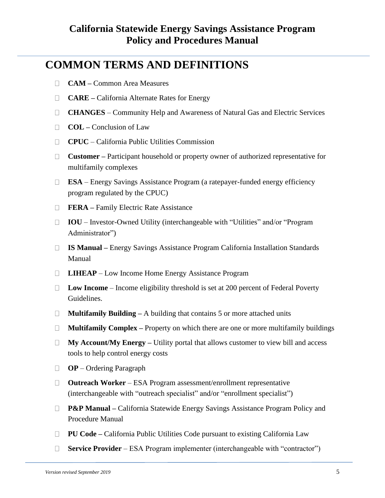# **COMMON TERMS AND DEFINITIONS**

- $\Box$ **CAM –** Common Area Measures
- **CARE –** California Alternate Rates for Energy  $\Box$
- **CHANGES** Community Help and Awareness of Natural Gas and Electric Services
- **COL –** Conclusion of Law  $\Box$
- **CPUC** California Public Utilities Commission  $\Box$
- **Customer –** Participant household or property owner of authorized representative for  $\Box$ multifamily complexes
- **ESA**  Energy Savings Assistance Program (a ratepayer-funded energy efficiency  $\Box$ program regulated by the CPUC)
- **FERA –** Family Electric Rate Assistance  $\Box$
- **IOU** Investor-Owned Utility (interchangeable with "Utilities" and/or "Program Administrator")
- **IS Manual –** Energy Savings Assistance Program California Installation Standards  $\Box$ Manual
- □ **LIHEAP** Low Income Home Energy Assistance Program
- **Low Income**  Income eligibility threshold is set at 200 percent of Federal Poverty Guidelines.
- **Multifamily Building –** A building that contains 5 or more attached units  $\Box$
- $\Box$ **Multifamily Complex –** Property on which there are one or more multifamily buildings
- **My Account/My Energy –** Utility portal that allows customer to view bill and access  $\Box$ tools to help control energy costs
- **OP**  Ordering Paragraph
- **Outreach Worker**  ESA Program assessment/enrollment representative  $\Box$ (interchangeable with "outreach specialist" and/or "enrollment specialist")
- □ **P&P Manual** California Statewide Energy Savings Assistance Program Policy and Procedure Manual
- **PU Code –** California Public Utilities Code pursuant to existing California Law
- **Service Provider** ESA Program implementer (interchangeable with "contractor")  $\Box$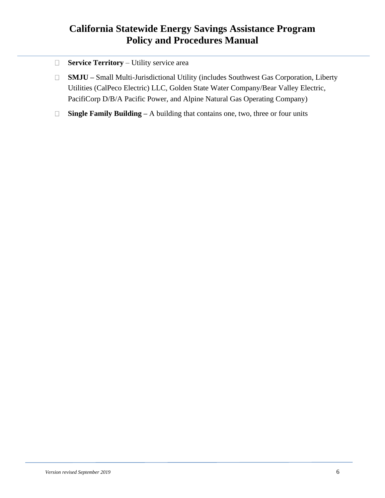- **Service Territory** Utility service area  $\Box$
- **SMJU –** Small Multi-Jurisdictional Utility (includes Southwest Gas Corporation, Liberty  $\Box$ Utilities (CalPeco Electric) LLC, Golden State Water Company/Bear Valley Electric, PacifiCorp D/B/A Pacific Power, and Alpine Natural Gas Operating Company)
- **Single Family Building –** A building that contains one, two, three or four units $\Box$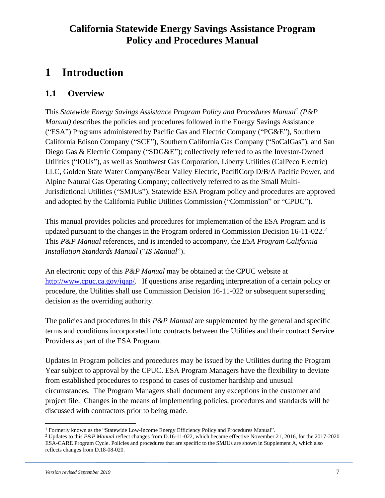# <span id="page-6-0"></span>**1 Introduction**

### <span id="page-6-1"></span>**1.1 Overview**

This *Statewide Energy Savings Assistance Program Policy and Procedures Manual<sup>1</sup> (P&P Manual*) describes the policies and procedures followed in the Energy Savings Assistance ("ESA") Programs administered by Pacific Gas and Electric Company ("PG&E"), Southern California Edison Company ("SCE"), Southern California Gas Company ("SoCalGas"), and San Diego Gas & Electric Company ("SDG&E"); collectively referred to as the Investor-Owned Utilities ("IOUs"), as well as Southwest Gas Corporation, Liberty Utilities (CalPeco Electric) LLC, Golden State Water Company/Bear Valley Electric, PacifiCorp D/B/A Pacific Power, and Alpine Natural Gas Operating Company; collectively referred to as the Small Multi-Jurisdictional Utilities ("SMJUs"). Statewide ESA Program policy and procedures are approved and adopted by the California Public Utilities Commission ("Commission" or "CPUC").

This manual provides policies and procedures for implementation of the ESA Program and is updated pursuant to the changes in the Program ordered in Commission Decision 16-11-022. 2 This *P&P Manual* references, and is intended to accompany, the *ESA Program California Installation Standards Manual* ("*IS Manual*").

An electronic copy of this *P&P Manual* may be obtained at the CPUC website at [http://www.cpuc.ca.gov/iqap/.](http://www.cpuc.ca.gov/iqap/) If questions arise regarding interpretation of a certain policy or procedure, the Utilities shall use Commission Decision 16-11-022 or subsequent superseding decision as the overriding authority.

The policies and procedures in this *P&P Manual* are supplemented by the general and specific terms and conditions incorporated into contracts between the Utilities and their contract Service Providers as part of the ESA Program.

Updates in Program policies and procedures may be issued by the Utilities during the Program Year subject to approval by the CPUC. ESA Program Managers have the flexibility to deviate from established procedures to respond to cases of customer hardship and unusual circumstances. The Program Managers shall document any exceptions in the customer and project file. Changes in the means of implementing policies, procedures and standards will be discussed with contractors prior to being made.

<sup>1</sup> Formerly known as the "Statewide Low-Income Energy Efficiency Policy and Procedures Manual".

<sup>2</sup> Updates to this *P&P Manual* reflect changes from D.16-11-022, which became effective November 21, 2016, for the 2017-2020 ESA-CARE Program Cycle. Policies and procedures that are specific to the SMJUs are shown in Supplement A, which also reflects changes from D.18-08-020.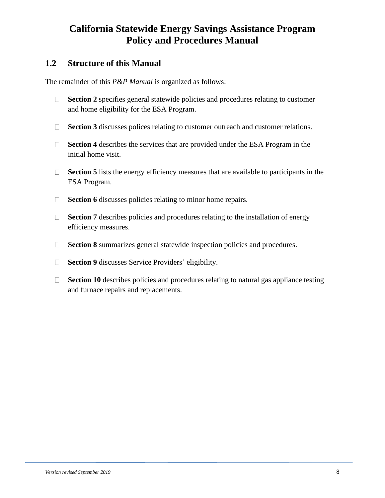### <span id="page-7-0"></span>**1.2 Structure of this Manual**

The remainder of this *P&P Manual* is organized as follows:

- $\Box$ **Section 2** specifies general statewide policies and procedures relating to customer and home eligibility for the ESA Program.
- **Section 3** discusses polices relating to customer outreach and customer relations.  $\Box$
- $\Box$ **Section 4** describes the services that are provided under the ESA Program in the initial home visit.
- **Section 5** lists the energy efficiency measures that are available to participants in the  $\Box$ ESA Program.
- **Section 6** discusses policies relating to minor home repairs.  $\Box$
- $\Box$ **Section 7** describes policies and procedures relating to the installation of energy efficiency measures.
- $\Box$ **Section 8** summarizes general statewide inspection policies and procedures.
- $\Box$ **Section 9** discusses Service Providers' eligibility.
- **Section 10** describes policies and procedures relating to natural gas appliance testing  $\Box$ and furnace repairs and replacements.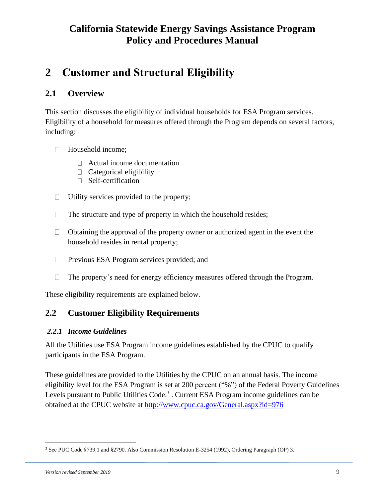# <span id="page-8-0"></span>**2 Customer and Structural Eligibility**

### <span id="page-8-1"></span>**2.1 Overview**

This section discusses the eligibility of individual households for ESA Program services. Eligibility of a household for measures offered through the Program depends on several factors, including:

- Household income;  $\Box$ 
	- Actual income documentation
	- $\Box$  Categorical eligibility
	- $\Box$  Self-certification
- Utility services provided to the property;  $\Box$
- The structure and type of property in which the household resides;  $\Box$
- $\Box$ Obtaining the approval of the property owner or authorized agent in the event the household resides in rental property;
- Previous ESA Program services provided; and  $\Box$
- The property's need for energy efficiency measures offered through the Program.  $\Box$

These eligibility requirements are explained below.

### <span id="page-8-2"></span>**2.2 Customer Eligibility Requirements**

#### <span id="page-8-3"></span>*2.2.1 Income Guidelines*

All the Utilities use ESA Program income guidelines established by the CPUC to qualify participants in the ESA Program.

These guidelines are provided to the Utilities by the CPUC on an annual basis. The income eligibility level for the ESA Program is set at 200 percent ("%") of the Federal Poverty Guidelines Levels pursuant to Public Utilities Code.<sup>3</sup>. Current ESA Program income guidelines can be obtained at the CPUC website at<http://www.cpuc.ca.gov/General.aspx?id=976>

<sup>3</sup> See PUC Code §739.1 and §2790. Also Commission Resolution E-3254 (1992), Ordering Paragraph (OP) 3.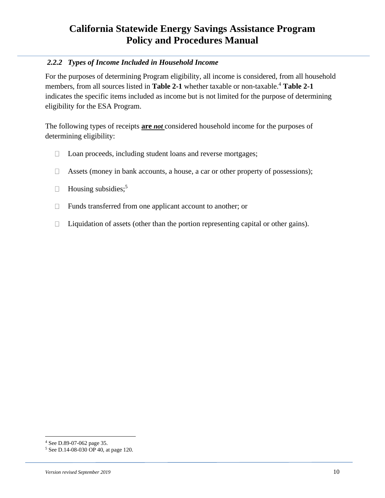#### <span id="page-9-0"></span>*2.2.2 Types of Income Included in Household Income*

For the purposes of determining Program eligibility, all income is considered, from all household members, from all sources listed in **Table 2-1** whether taxable or non-taxable. <sup>4</sup> **Table 2-1** indicates the specific items included as income but is not limited for the purpose of determining eligibility for the ESA Program.

The following types of receipts **are** *not* considered household income for the purposes of determining eligibility:

- Loan proceeds, including student loans and reverse mortgages;  $\Box$
- Assets (money in bank accounts, a house, a car or other property of possessions);  $\Box$
- Housing subsidies;<sup>5</sup>  $\Box$
- Funds transferred from one applicant account to another; or  $\Box$
- Liquidation of assets (other than the portion representing capital or other gains).  $\Box$

<sup>4</sup> See D.89-07-062 page 35.

<sup>5</sup> See D.14-08-030 OP 40, at page 120.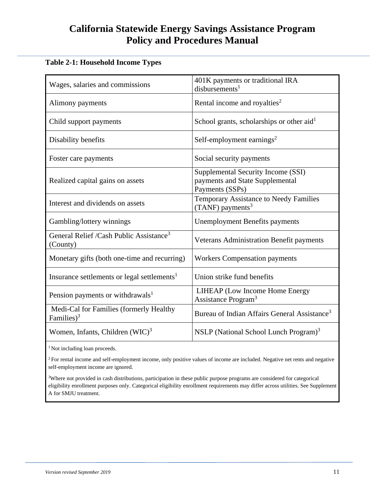#### <span id="page-10-0"></span>**Table 2-1: Household Income Types**

|                                                                 | 401K payments or traditional IRA                                                         |
|-----------------------------------------------------------------|------------------------------------------------------------------------------------------|
| Wages, salaries and commissions                                 | $disbur$ sements <sup>1</sup>                                                            |
| Alimony payments                                                | Rental income and royalties <sup>2</sup>                                                 |
| Child support payments                                          | School grants, scholarships or other aid <sup>1</sup>                                    |
| Disability benefits                                             | Self-employment earnings <sup>2</sup>                                                    |
| Foster care payments                                            | Social security payments                                                                 |
| Realized capital gains on assets                                | Supplemental Security Income (SSI)<br>payments and State Supplemental<br>Payments (SSPs) |
| Interest and dividends on assets                                | Temporary Assistance to Needy Families<br>$(TANF)$ payments <sup>3</sup>                 |
| Gambling/lottery winnings                                       | <b>Unemployment Benefits payments</b>                                                    |
| General Relief /Cash Public Assistance <sup>3</sup><br>(County) | Veterans Administration Benefit payments                                                 |
| Monetary gifts (both one-time and recurring)                    | <b>Workers Compensation payments</b>                                                     |
| Insurance settlements or legal settlements <sup>1</sup>         | Union strike fund benefits                                                               |
| Pension payments or withdrawals <sup>1</sup>                    | LIHEAP (Low Income Home Energy<br>Assistance Program <sup>3</sup>                        |
| Medi-Cal for Families (formerly Healthy<br>Families) $3$        | Bureau of Indian Affairs General Assistance <sup>3</sup>                                 |
| Women, Infants, Children $(WIC)^3$                              | NSLP (National School Lunch Program) <sup>3</sup>                                        |

<sup>1</sup> Not including loan proceeds.

<sup>2</sup> For rental income and self-employment income, only positive values of income are included. Negative net rents and negative self-employment income are ignored.

<sup>3</sup>Where not provided in cash distributions, participation in these public purpose programs are considered for categorical eligibility enrollment purposes only. Categorical eligibility enrollment requirements may differ across utilities. See Supplement A for SMJU treatment.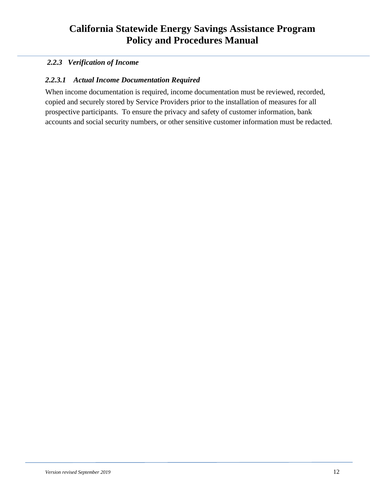### <span id="page-11-0"></span>*2.2.3 Verification of Income*

#### *2.2.3.1 Actual Income Documentation Required*

When income documentation is required, income documentation must be reviewed, recorded, copied and securely stored by Service Providers prior to the installation of measures for all prospective participants. To ensure the privacy and safety of customer information, bank accounts and social security numbers, or other sensitive customer information must be redacted.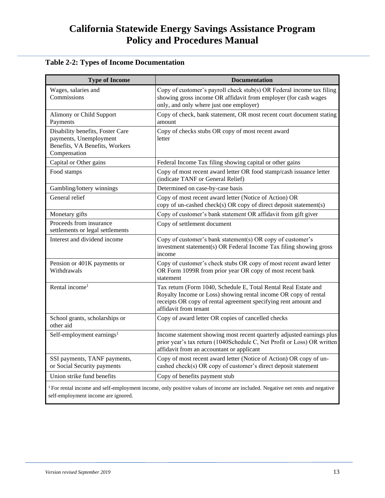#### <span id="page-12-0"></span>**Table 2-2: Types of Income Documentation**

| <b>Type of Income</b>                                                                                        | <b>Documentation</b>                                                                                                                                                                                                           |
|--------------------------------------------------------------------------------------------------------------|--------------------------------------------------------------------------------------------------------------------------------------------------------------------------------------------------------------------------------|
| Wages, salaries and<br>Commissions                                                                           | Copy of customer's payroll check stub(s) OR Federal income tax filing<br>showing gross income OR affidavit from employer (for cash wages<br>only, and only where just one employer)                                            |
| Alimony or Child Support<br>Payments                                                                         | Copy of check, bank statement, OR most recent court document stating<br>amount                                                                                                                                                 |
| Disability benefits, Foster Care<br>payments, Unemployment<br>Benefits, VA Benefits, Workers<br>Compensation | Copy of checks stubs OR copy of most recent award<br>letter                                                                                                                                                                    |
| Capital or Other gains                                                                                       | Federal Income Tax filing showing capital or other gains                                                                                                                                                                       |
| Food stamps                                                                                                  | Copy of most recent award letter OR food stamp/cash issuance letter<br>(indicate TANF or General Relief)                                                                                                                       |
| Gambling/lottery winnings                                                                                    | Determined on case-by-case basis                                                                                                                                                                                               |
| General relief                                                                                               | Copy of most recent award letter (Notice of Action) OR<br>copy of un-cashed check(s) OR copy of direct deposit statement(s)                                                                                                    |
| Monetary gifts                                                                                               | Copy of customer's bank statement OR affidavit from gift giver                                                                                                                                                                 |
| Proceeds from insurance<br>settlements or legal settlements                                                  | Copy of settlement document                                                                                                                                                                                                    |
| Interest and dividend income                                                                                 | Copy of customer's bank statement(s) OR copy of customer's<br>investment statement(s) OR Federal Income Tax filing showing gross<br>income                                                                                     |
| Pension or 401K payments or<br>Withdrawals                                                                   | Copy of customer's check stubs OR copy of most recent award letter<br>OR Form 1099R from prior year OR copy of most recent bank<br>statement                                                                                   |
| Rental income <sup>1</sup>                                                                                   | Tax return (Form 1040, Schedule E, Total Rental Real Estate and<br>Royalty Income or Loss) showing rental income OR copy of rental<br>receipts OR copy of rental agreement specifying rent amount and<br>affidavit from tenant |
| School grants, scholarships or<br>other aid                                                                  | Copy of award letter OR copies of cancelled checks                                                                                                                                                                             |
| Self-employment earnings <sup>1</sup>                                                                        | Income statement showing most recent quarterly adjusted earnings plus<br>prior year's tax return (1040Schedule C, Net Profit or Loss) OR written<br>affidavit from an accountant or applicant                                  |
| SSI payments, TANF payments,<br>or Social Security payments                                                  | Copy of most recent award letter (Notice of Action) OR copy of un-<br>cashed check(s) OR copy of customer's direct deposit statement                                                                                           |
| Union strike fund benefits                                                                                   | Copy of benefits payment stub                                                                                                                                                                                                  |

<sup>1</sup> For rental income and self-employment income, only positive values of income are included. Negative net rents and negative self-employment income are ignored.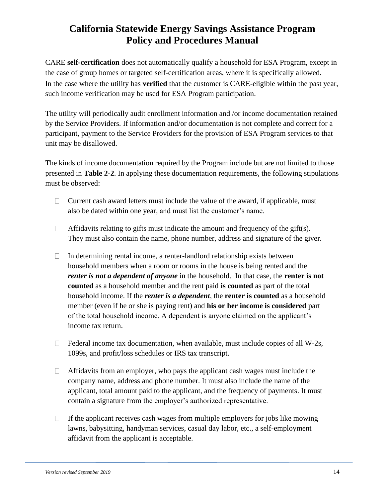CARE **self-certification** does not automatically qualify a household for ESA Program, except in the case of group homes or targeted self-certification areas, where it is specifically allowed. In the case where the utility has **verified** that the customer is CARE-eligible within the past year, such income verification may be used for ESA Program participation.

The utility will periodically audit enrollment information and /or income documentation retained by the Service Providers. If information and/or documentation is not complete and correct for a participant, payment to the Service Providers for the provision of ESA Program services to that unit may be disallowed.

The kinds of income documentation required by the Program include but are not limited to those presented in **Table 2-2**. In applying these documentation requirements, the following stipulations must be observed:

- $\Box$ Current cash award letters must include the value of the award, if applicable, must also be dated within one year, and must list the customer's name.
- $\Box$  Affidavits relating to gifts must indicate the amount and frequency of the gift(s). They must also contain the name, phone number, address and signature of the giver.
- In determining rental income, a renter-landlord relationship exists between  $\Box$ household members when a room or rooms in the house is being rented and the *renter is not a dependent of anyone* in the household. In that case, the **renter is not counted** as a household member and the rent paid **is counted** as part of the total household income. If the *renter is a dependent*, the **renter is counted** as a household member (even if he or she is paying rent) and **his or her income is considered** part of the total household income. A dependent is anyone claimed on the applicant's income tax return.
- Federal income tax documentation, when available, must include copies of all W-2s,  $\Box$ 1099s, and profit/loss schedules or IRS tax transcript.
- $\Box$ Affidavits from an employer, who pays the applicant cash wages must include the company name, address and phone number. It must also include the name of the applicant, total amount paid to the applicant, and the frequency of payments. It must contain a signature from the employer's authorized representative.
- If the applicant receives cash wages from multiple employers for jobs like mowing  $\Box$ lawns, babysitting, handyman services, casual day labor, etc., a self-employment affidavit from the applicant is acceptable.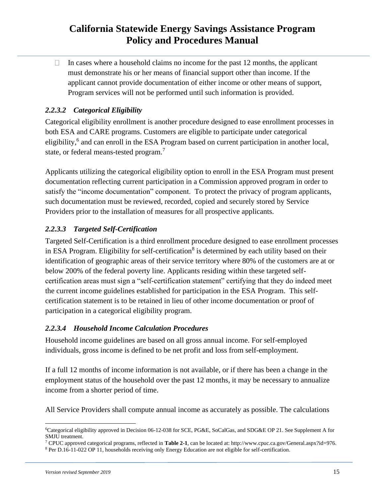In cases where a household claims no income for the past 12 months, the applicant  $\Box$ must demonstrate his or her means of financial support other than income. If the applicant cannot provide documentation of either income or other means of support, Program services will not be performed until such information is provided.

### *2.2.3.2 Categorical Eligibility*

Categorical eligibility enrollment is another procedure designed to ease enrollment processes in both ESA and CARE programs. Customers are eligible to participate under categorical eligibility,<sup>6</sup> and can enroll in the ESA Program based on current participation in another local, state, or federal means-tested program.<sup>7</sup>

Applicants utilizing the categorical eligibility option to enroll in the ESA Program must present documentation reflecting current participation in a Commission approved program in order to satisfy the "income documentation" component. To protect the privacy of program applicants, such documentation must be reviewed, recorded, copied and securely stored by Service Providers prior to the installation of measures for all prospective applicants.

### *2.2.3.3 Targeted Self-Certification*

Targeted Self-Certification is a third enrollment procedure designed to ease enrollment processes in ESA Program. Eligibility for self-certification<sup>8</sup> is determined by each utility based on their identification of geographic areas of their service territory where 80% of the customers are at or below 200% of the federal poverty line. Applicants residing within these targeted selfcertification areas must sign a "self-certification statement" certifying that they do indeed meet the current income guidelines established for participation in the ESA Program. This selfcertification statement is to be retained in lieu of other income documentation or proof of participation in a categorical eligibility program.

### *2.2.3.4 Household Income Calculation Procedures*

Household income guidelines are based on all gross annual income. For self-employed individuals, gross income is defined to be net profit and loss from self-employment.

If a full 12 months of income information is not available, or if there has been a change in the employment status of the household over the past 12 months, it may be necessary to annualize income from a shorter period of time.

All Service Providers shall compute annual income as accurately as possible. The calculations

<sup>6</sup>Categorical eligibility approved in Decision 06-12-038 for SCE, PG&E, SoCalGas, and SDG&E OP 21. See Supplement A for SMJU treatment.

<sup>7</sup> CPUC approved categorical programs, reflected in **Table 2-1**, can be located at: http://www.cpuc.ca.gov/General.aspx?id=976.

<sup>8</sup> Per D.16-11-022 OP 11, households receiving only Energy Education are not eligible for self-certification.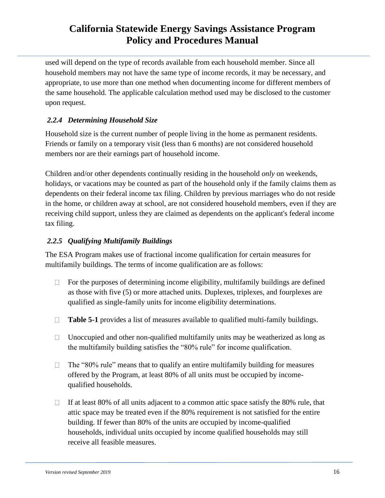used will depend on the type of records available from each household member. Since all household members may not have the same type of income records, it may be necessary, and appropriate, to use more than one method when documenting income for different members of the same household. The applicable calculation method used may be disclosed to the customer upon request.

### <span id="page-15-0"></span>*2.2.4 Determining Household Size*

Household size is the current number of people living in the home as permanent residents. Friends or family on a temporary visit (less than 6 months) are not considered household members nor are their earnings part of household income.

Children and/or other dependents continually residing in the household *only* on weekends, holidays, or vacations may be counted as part of the household only if the family claims them as dependents on their federal income tax filing. Children by previous marriages who do not reside in the home, or children away at school, are not considered household members, even if they are receiving child support, unless they are claimed as dependents on the applicant's federal income tax filing.

### <span id="page-15-1"></span>*2.2.5 Qualifying Multifamily Buildings*

The ESA Program makes use of fractional income qualification for certain measures for multifamily buildings. The terms of income qualification are as follows:

- For the purposes of determining income eligibility, multifamily buildings are defined  $\Box$ as those with five (5) or more attached units. Duplexes, triplexes, and fourplexes are qualified as single-family units for income eligibility determinations.
- **Table 5-1** provides a list of measures available to qualified multi-family buildings.  $\Box$
- $\Box$ Unoccupied and other non-qualified multifamily units may be weatherized as long as the multifamily building satisfies the "80% rule" for income qualification.
- $\Box$ The "80% rule" means that to qualify an entire multifamily building for measures offered by the Program, at least 80% of all units must be occupied by incomequalified households.
- If at least 80% of all units adjacent to a common attic space satisfy the 80% rule, that  $\Box$ attic space may be treated even if the 80% requirement is not satisfied for the entire building. If fewer than 80% of the units are occupied by income-qualified households, individual units occupied by income qualified households may still receive all feasible measures.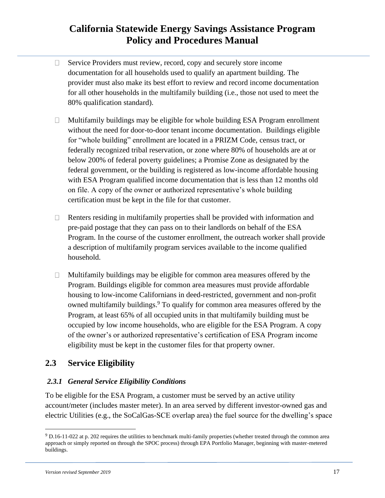- Service Providers must review, record, copy and securely store income  $\Box$ documentation for all households used to qualify an apartment building. The provider must also make its best effort to review and record income documentation for all other households in the multifamily building (i.e., those not used to meet the 80% qualification standard).
- Multifamily buildings may be eligible for whole building ESA Program enrollment  $\Box$ without the need for door-to-door tenant income documentation. Buildings eligible for "whole building" enrollment are located in a PRIZM Code, census tract, or federally recognized tribal reservation, or zone where 80% of households are at or below 200% of federal poverty guidelines; a Promise Zone as designated by the federal government, or the building is registered as low-income affordable housing with ESA Program qualified income documentation that is less than 12 months old on file. A copy of the owner or authorized representative's whole building certification must be kept in the file for that customer.
- $\Box$ Renters residing in multifamily properties shall be provided with information and pre-paid postage that they can pass on to their landlords on behalf of the ESA Program. In the course of the customer enrollment, the outreach worker shall provide a description of multifamily program services available to the income qualified household.
- Multifamily buildings may be eligible for common area measures offered by the  $\Box$ Program. Buildings eligible for common area measures must provide affordable housing to low-income Californians in deed-restricted, government and non-profit owned multifamily buildings.<sup>9</sup> To qualify for common area measures offered by the Program, at least 65% of all occupied units in that multifamily building must be occupied by low income households, who are eligible for the ESA Program. A copy of the owner's or authorized representative's certification of ESA Program income eligibility must be kept in the customer files for that property owner.

### <span id="page-16-0"></span>**2.3 Service Eligibility**

#### <span id="page-16-1"></span>*2.3.1 General Service Eligibility Conditions*

To be eligible for the ESA Program, a customer must be served by an active utility account/meter (includes master meter). In an area served by different investor-owned gas and electric Utilities (e.g., the SoCalGas-SCE overlap area) the fuel source for the dwelling's space

<sup>9</sup> D.16-11-022 at p. 202 requires the utilities to benchmark multi-family properties (whether treated through the common area approach or simply reported on through the SPOC process) through EPA Portfolio Manager, beginning with master-metered buildings.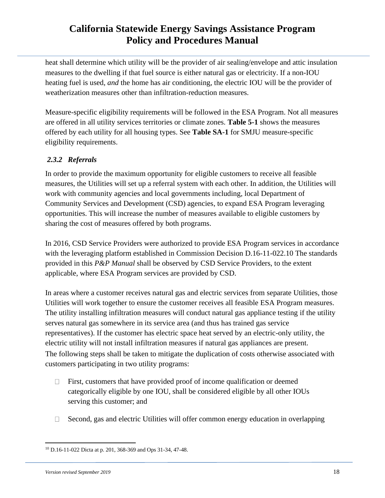heat shall determine which utility will be the provider of air sealing/envelope and attic insulation measures to the dwelling if that fuel source is either natural gas or electricity. If a non-IOU heating fuel is used, *and* the home has air conditioning, the electric IOU will be the provider of weatherization measures other than infiltration-reduction measures.

Measure-specific eligibility requirements will be followed in the ESA Program. Not all measures are offered in all utility services territories or climate zones. **Table 5-1** shows the measures offered by each utility for all housing types. See **Table SA-1** for SMJU measure-specific eligibility requirements.

### <span id="page-17-0"></span>*2.3.2 Referrals*

In order to provide the maximum opportunity for eligible customers to receive all feasible measures, the Utilities will set up a referral system with each other. In addition, the Utilities will work with community agencies and local governments including, local Department of Community Services and Development (CSD) agencies, to expand ESA Program leveraging opportunities. This will increase the number of measures available to eligible customers by sharing the cost of measures offered by both programs.

In 2016, CSD Service Providers were authorized to provide ESA Program services in accordance with the leveraging platform established in Commission Decision D.16-11-022.10 The standards provided in this *P&P Manual* shall be observed by CSD Service Providers, to the extent applicable, where ESA Program services are provided by CSD.

In areas where a customer receives natural gas and electric services from separate Utilities, those Utilities will work together to ensure the customer receives all feasible ESA Program measures. The utility installing infiltration measures will conduct natural gas appliance testing if the utility serves natural gas somewhere in its service area (and thus has trained gas service representatives). If the customer has electric space heat served by an electric-only utility, the electric utility will not install infiltration measures if natural gas appliances are present. The following steps shall be taken to mitigate the duplication of costs otherwise associated with customers participating in two utility programs:

- First, customers that have provided proof of income qualification or deemed  $\Box$ categorically eligible by one IOU, shall be considered eligible by all other IOUs serving this customer; and
- Second, gas and electric Utilities will offer common energy education in overlapping  $\Box$

<sup>10</sup> D.16-11-022 Dicta at p. 201, 368-369 and Ops 31-34, 47-48.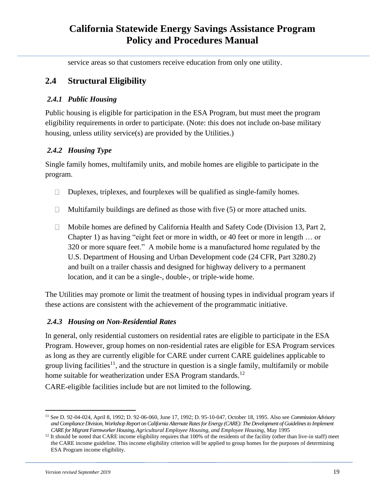service areas so that customers receive education from only one utility.

### <span id="page-18-0"></span>**2.4 Structural Eligibility**

#### <span id="page-18-1"></span>*2.4.1 Public Housing*

Public housing is eligible for participation in the ESA Program, but must meet the program eligibility requirements in order to participate. (Note: this does not include on-base military housing, unless utility service(s) are provided by the Utilities.)

### <span id="page-18-2"></span>*2.4.2 Housing Type*

Single family homes, multifamily units, and mobile homes are eligible to participate in the program.

- Duplexes, triplexes, and fourplexes will be qualified as single-family homes.  $\Box$
- $\Box$  Multifamily buildings are defined as those with five (5) or more attached units.
- Mobile homes are defined by California Health and Safety Code (Division 13, Part 2,  $\Box$ Chapter 1) as having "eight feet or more in width, or 40 feet or more in length … or 320 or more square feet." A mobile home is a manufactured home regulated by the U.S. Department of Housing and Urban Development code (24 CFR, Part 3280.2) and built on a trailer chassis and designed for highway delivery to a permanent location, and it can be a single-, double-, or triple-wide home.

The Utilities may promote or limit the treatment of housing types in individual program years if these actions are consistent with the achievement of the programmatic initiative.

### <span id="page-18-3"></span>*2.4.3 Housing on Non-Residential Rates*

In general, only residential customers on residential rates are eligible to participate in the ESA Program. However, group homes on non-residential rates are eligible for ESA Program services as long as they are currently eligible for CARE under current CARE guidelines applicable to group living facilities<sup>11</sup>, and the structure in question is a single family, multifamily or mobile home suitable for weatherization under ESA Program standards.<sup>12</sup>

CARE-eligible facilities include but are not limited to the following.

<sup>11</sup> See D. 92-04-024, April 8, 1992; D. 92-06-060, June 17, 1992; D. 95-10-047, October 18, 1995. Also see *Commission Advisory and Compliance Division, Workshop Report on California Alternate Rates for Energy (CARE): The Development of Guidelines to Implement CARE for Migrant Farmworker Housing, Agricultural Employee Housing, and Employee Housing,* May 1995

 $12$  It should be noted that CARE income eligibility requires that 100% of the residents of the facility (other than live-in staff) meet the CARE income guideline. This income eligibility criterion will be applied to group homes for the purposes of determining ESA Program income eligibility.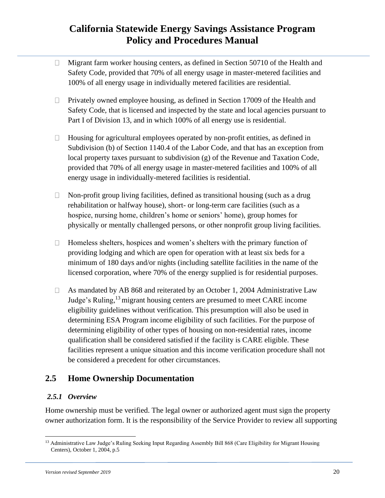- Migrant farm worker housing centers, as defined in Section 50710 of the Health and  $\Box$ Safety Code, provided that 70% of all energy usage in master-metered facilities and 100% of all energy usage in individually metered facilities are residential.
- Privately owned employee housing, as defined in Section 17009 of the Health and  $\Box$ Safety Code, that is licensed and inspected by the state and local agencies pursuant to Part I of Division 13, and in which 100% of all energy use is residential.
- $\Box$ Housing for agricultural employees operated by non-profit entities, as defined in Subdivision (b) of Section 1140.4 of the Labor Code, and that has an exception from local property taxes pursuant to subdivision (g) of the Revenue and Taxation Code, provided that 70% of all energy usage in master-metered facilities and 100% of all energy usage in individually-metered facilities is residential.
- Non-profit group living facilities, defined as transitional housing (such as a drug  $\Box$ rehabilitation or halfway house), short- or long-term care facilities (such as a hospice, nursing home, children's home or seniors' home), group homes for physically or mentally challenged persons, or other nonprofit group living facilities.
- Homeless shelters, hospices and women's shelters with the primary function of  $\Box$ providing lodging and which are open for operation with at least six beds for a minimum of 180 days and/or nights (including satellite facilities in the name of the licensed corporation, where 70% of the energy supplied is for residential purposes.
- As mandated by AB 868 and reiterated by an October 1, 2004 Administrative Law  $\Box$ Judge's Ruling,<sup>13</sup> migrant housing centers are presumed to meet CARE income eligibility guidelines without verification. This presumption will also be used in determining ESA Program income eligibility of such facilities. For the purpose of determining eligibility of other types of housing on non-residential rates, income qualification shall be considered satisfied if the facility is CARE eligible. These facilities represent a unique situation and this income verification procedure shall not be considered a precedent for other circumstances.

### <span id="page-19-0"></span>**2.5 Home Ownership Documentation**

#### <span id="page-19-1"></span>*2.5.1 Overview*

Home ownership must be verified. The legal owner or authorized agent must sign the property owner authorization form. It is the responsibility of the Service Provider to review all supporting

<sup>&</sup>lt;sup>13</sup> Administrative Law Judge's Ruling Seeking Input Regarding Assembly Bill 868 (Care Eligibility for Migrant Housing Centers), October 1, 2004, p.5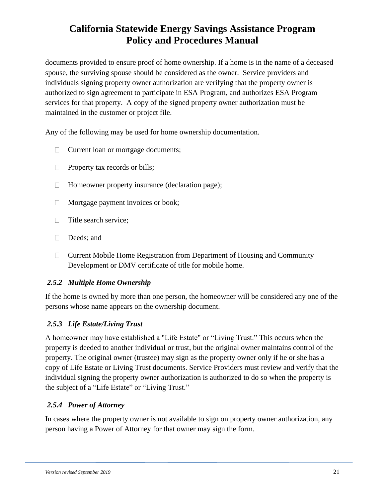documents provided to ensure proof of home ownership. If a home is in the name of a deceased spouse, the surviving spouse should be considered as the owner. Service providers and individuals signing property owner authorization are verifying that the property owner is authorized to sign agreement to participate in ESA Program, and authorizes ESA Program services for that property. A copy of the signed property owner authorization must be maintained in the customer or project file.

Any of the following may be used for home ownership documentation.

- Current loan or mortgage documents;  $\Box$
- Property tax records or bills;  $\Box$
- Homeowner property insurance (declaration page);  $\Box$
- Mortgage payment invoices or book;  $\Box$
- Title search service;  $\Box$
- $\Box$ Deeds; and
- $\Box$  Current Mobile Home Registration from Department of Housing and Community Development or DMV certificate of title for mobile home.

#### <span id="page-20-0"></span>*2.5.2 Multiple Home Ownership*

If the home is owned by more than one person, the homeowner will be considered any one of the persons whose name appears on the ownership document.

### <span id="page-20-1"></span>*2.5.3 Life Estate/Living Trust*

A homeowner may have established a "Life Estate" or "Living Trust." This occurs when the property is deeded to another individual or trust, but the original owner maintains control of the property. The original owner (trustee) may sign as the property owner only if he or she has a copy of Life Estate or Living Trust documents. Service Providers must review and verify that the individual signing the property owner authorization is authorized to do so when the property is the subject of a "Life Estate" or "Living Trust."

### <span id="page-20-2"></span>*2.5.4 Power of Attorney*

In cases where the property owner is not available to sign on property owner authorization, any person having a Power of Attorney for that owner may sign the form.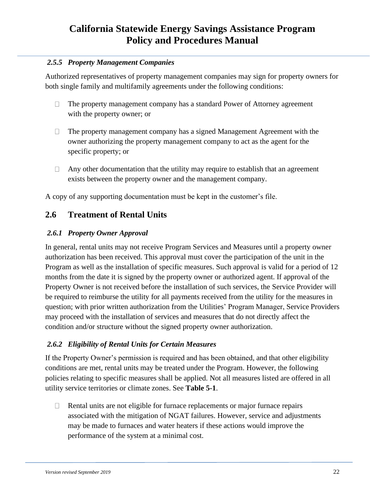#### <span id="page-21-0"></span>*2.5.5 Property Management Companies*

Authorized representatives of property management companies may sign for property owners for both single family and multifamily agreements under the following conditions:

- $\Box$ The property management company has a standard Power of Attorney agreement with the property owner; or
- The property management company has a signed Management Agreement with the  $\Box$ owner authorizing the property management company to act as the agent for the specific property; or
- $\Box$ Any other documentation that the utility may require to establish that an agreement exists between the property owner and the management company.

A copy of any supporting documentation must be kept in the customer's file.

### <span id="page-21-1"></span>**2.6 Treatment of Rental Units**

#### <span id="page-21-2"></span>*2.6.1 Property Owner Approval*

In general, rental units may not receive Program Services and Measures until a property owner authorization has been received. This approval must cover the participation of the unit in the Program as well as the installation of specific measures. Such approval is valid for a period of 12 months from the date it is signed by the property owner or authorized agent. If approval of the Property Owner is not received before the installation of such services, the Service Provider will be required to reimburse the utility for all payments received from the utility for the measures in question; with prior written authorization from the Utilities' Program Manager, Service Providers may proceed with the installation of services and measures that do not directly affect the condition and/or structure without the signed property owner authorization.

#### <span id="page-21-3"></span>*2.6.2 Eligibility of Rental Units for Certain Measures*

If the Property Owner's permission is required and has been obtained, and that other eligibility conditions are met, rental units may be treated under the Program. However, the following policies relating to specific measures shall be applied. Not all measures listed are offered in all utility service territories or climate zones. See **Table 5-1**.

Rental units are not eligible for furnace replacements or major furnace repairs  $\Box$ associated with the mitigation of NGAT failures. However, service and adjustments may be made to furnaces and water heaters if these actions would improve the performance of the system at a minimal cost.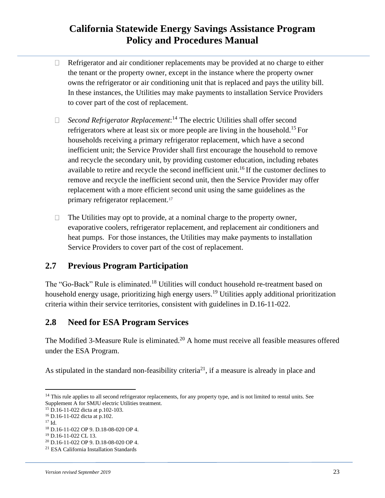- Refrigerator and air conditioner replacements may be provided at no charge to either  $\Box$ the tenant or the property owner, except in the instance where the property owner owns the refrigerator or air conditioning unit that is replaced and pays the utility bill. In these instances, the Utilities may make payments to installation Service Providers to cover part of the cost of replacement.
- *Second Refrigerator Replacement*: <sup>14</sup> The electric Utilities shall offer second  $\Box$ refrigerators where at least six or more people are living in the household.<sup>15</sup> For households receiving a primary refrigerator replacement, which have a second inefficient unit; the Service Provider shall first encourage the household to remove and recycle the secondary unit, by providing customer education, including rebates available to retire and recycle the second inefficient unit.<sup>16</sup> If the customer declines to remove and recycle the inefficient second unit, then the Service Provider may offer replacement with a more efficient second unit using the same guidelines as the primary refrigerator replacement.<sup>17</sup>
- The Utilities may opt to provide, at a nominal charge to the property owner,  $\Box$ evaporative coolers, refrigerator replacement, and replacement air conditioners and heat pumps. For those instances, the Utilities may make payments to installation Service Providers to cover part of the cost of replacement.

### <span id="page-22-0"></span>**2.7 Previous Program Participation**

The "Go-Back" Rule is eliminated.<sup>18</sup> Utilities will conduct household re-treatment based on household energy usage, prioritizing high energy users.<sup>19</sup> Utilities apply additional prioritization criteria within their service territories, consistent with guidelines in D.16-11-022.

### <span id="page-22-1"></span>**2.8 Need for ESA Program Services**

The Modified 3-Measure Rule is eliminated.<sup>20</sup> A home must receive all feasible measures offered under the ESA Program.

As stipulated in the standard non-feasibility criteria<sup>21</sup>, if a measure is already in place and

<sup>15</sup> D.16-11-022 dicta at p.102-103.

<sup>17</sup> Id.

 $14$  This rule applies to all second refrigerator replacements, for any property type, and is not limited to rental units. See Supplement A for SMJU electric Utilities treatment.

<sup>16</sup> D.16-11-022 dicta at p.102.

<sup>18</sup> D.16-11-022 OP 9. D.18-08-020 OP 4.

<sup>19</sup> D.16-11-022 CL 13.

<sup>20</sup> D.16-11-022 OP 9. D.18-08-020 OP 4.

<sup>21</sup> ESA California Installation Standards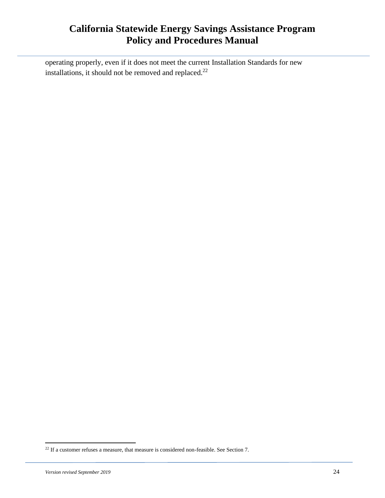operating properly, even if it does not meet the current Installation Standards for new installations, it should not be removed and replaced. $22$ 

<sup>&</sup>lt;sup>22</sup> If a customer refuses a measure, that measure is considered non-feasible. See Section 7.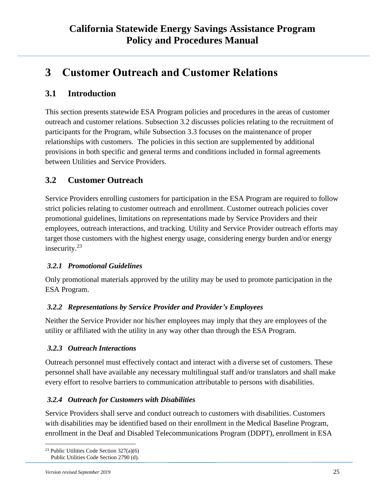# <span id="page-24-0"></span>**3 Customer Outreach and Customer Relations**

### <span id="page-24-1"></span>**3.1 Introduction**

This section presents statewide ESA Program policies and procedures in the areas of customer outreach and customer relations. Subsection 3.2 discusses policies relating to the recruitment of participants for the Program, while Subsection 3.3 focuses on the maintenance of proper relationships with customers. The policies in this section are supplemented by additional provisions in both specific and general terms and conditions included in formal agreements between Utilities and Service Providers.

### <span id="page-24-2"></span>**3.2 Customer Outreach**

Service Providers enrolling customers for participation in the ESA Program are required to follow strict policies relating to customer outreach and enrollment. Customer outreach policies cover promotional guidelines, limitations on representations made by Service Providers and their employees, outreach interactions, and tracking. Utility and Service Provider outreach efforts may target those customers with the highest energy usage, considering energy burden and/or energy insecurity.<sup>23</sup>

#### <span id="page-24-3"></span>*3.2.1 Promotional Guidelines*

Only promotional materials approved by the utility may be used to promote participation in the ESA Program.

#### <span id="page-24-4"></span>*3.2.2 Representations by Service Provider and Provider's Employees*

Neither the Service Provider nor his/her employees may imply that they are employees of the utility or affiliated with the utility in any way other than through the ESA Program.

#### <span id="page-24-5"></span>*3.2.3 Outreach Interactions*

Outreach personnel must effectively contact and interact with a diverse set of customers. These personnel shall have available any necessary multilingual staff and/or translators and shall make every effort to resolve barriers to communication attributable to persons with disabilities.

#### <span id="page-24-6"></span>*3.2.4 Outreach for Customers with Disabilities*

Service Providers shall serve and conduct outreach to customers with disabilities. Customers with disabilities may be identified based on their enrollment in the Medical Baseline Program, enrollment in the Deaf and Disabled Telecommunications Program (DDPT), enrollment in ESA

<sup>&</sup>lt;sup>23</sup> Public Utilities Code Section  $327(a)(6)$ Public Utilities Code Section 2790 (d).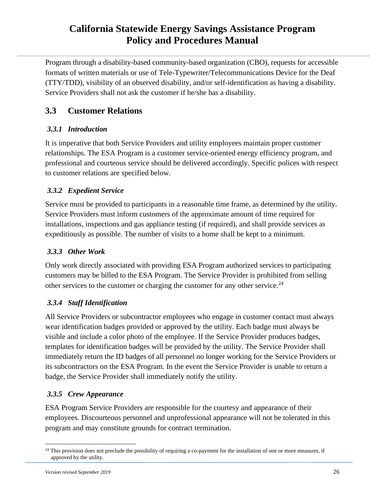Program through a disability-based community-based organization (CBO), requests for accessible formats of written materials or use of Tele-Typewriter/Telecommunications Device for the Deaf (TTY/TDD), visibility of an observed disability, and/or self-identification as having a disability. Service Providers shall not ask the customer if he/she has a disability.

### <span id="page-25-0"></span>**3.3 Customer Relations**

### <span id="page-25-1"></span>*3.3.1 Introduction*

It is imperative that both Service Providers and utility employees maintain proper customer relationships. The ESA Program is a customer service-oriented energy efficiency program, and professional and courteous service should be delivered accordingly. Specific polices with respect to customer relations are specified below.

### <span id="page-25-2"></span>*3.3.2 Expedient Service*

Service must be provided to participants in a reasonable time frame, as determined by the utility. Service Providers must inform customers of the approximate amount of time required for installations, inspections and gas appliance testing (if required), and shall provide services as expeditiously as possible. The number of visits to a home shall be kept to a minimum.

### <span id="page-25-3"></span>*3.3.3 Other Work*

Only work directly associated with providing ESA Program authorized services to participating customers may be billed to the ESA Program. The Service Provider is prohibited from selling other services to the customer or charging the customer for any other service.<sup>24</sup>

### <span id="page-25-4"></span>*3.3.4 Staff Identification*

All Service Providers or subcontractor employees who engage in customer contact must always wear identification badges provided or approved by the utility. Each badge must always be visible and include a color photo of the employee. If the Service Provider produces badges, templates for identification badges will be provided by the utility. The Service Provider shall immediately return the ID badges of all personnel no longer working for the Service Providers or its subcontractors on the ESA Program. In the event the Service Provider is unable to return a badge, the Service Provider shall immediately notify the utility.

### <span id="page-25-5"></span>*3.3.5 Crew Appearance*

ESA Program Service Providers are responsible for the courtesy and appearance of their employees. Discourteous personnel and unprofessional appearance will not be tolerated in this program and may constitute grounds for contract termination.

<sup>&</sup>lt;sup>24</sup> This provision does not preclude the possibility of requiring a co-payment for the installation of one or more measures, if approved by the utility.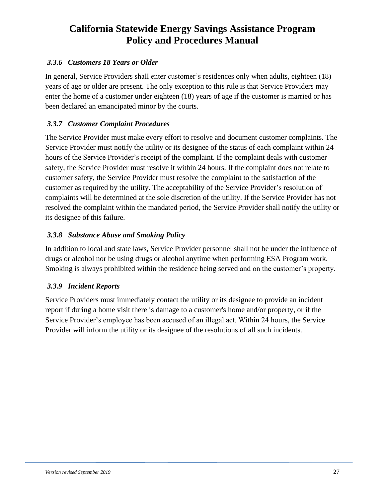#### <span id="page-26-0"></span>*3.3.6 Customers 18 Years or Older*

In general, Service Providers shall enter customer's residences only when adults, eighteen (18) years of age or older are present. The only exception to this rule is that Service Providers may enter the home of a customer under eighteen (18) years of age if the customer is married or has been declared an emancipated minor by the courts.

#### <span id="page-26-1"></span>*3.3.7 Customer Complaint Procedures*

The Service Provider must make every effort to resolve and document customer complaints. The Service Provider must notify the utility or its designee of the status of each complaint within 24 hours of the Service Provider's receipt of the complaint. If the complaint deals with customer safety, the Service Provider must resolve it within 24 hours. If the complaint does not relate to customer safety, the Service Provider must resolve the complaint to the satisfaction of the customer as required by the utility. The acceptability of the Service Provider's resolution of complaints will be determined at the sole discretion of the utility. If the Service Provider has not resolved the complaint within the mandated period, the Service Provider shall notify the utility or its designee of this failure.

#### <span id="page-26-2"></span>*3.3.8 Substance Abuse and Smoking Policy*

In addition to local and state laws, Service Provider personnel shall not be under the influence of drugs or alcohol nor be using drugs or alcohol anytime when performing ESA Program work. Smoking is always prohibited within the residence being served and on the customer's property.

#### <span id="page-26-3"></span>*3.3.9 Incident Reports*

Service Providers must immediately contact the utility or its designee to provide an incident report if during a home visit there is damage to a customer's home and/or property, or if the Service Provider's employee has been accused of an illegal act. Within 24 hours, the Service Provider will inform the utility or its designee of the resolutions of all such incidents.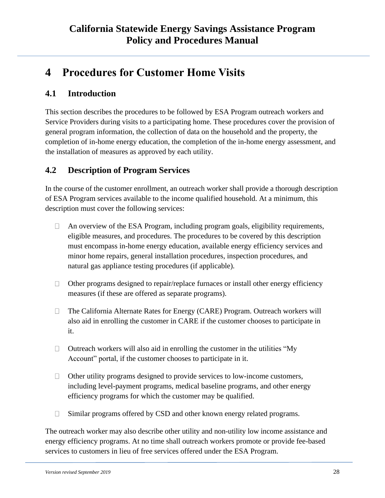# <span id="page-27-0"></span>**4 Procedures for Customer Home Visits**

### <span id="page-27-1"></span>**4.1 Introduction**

This section describes the procedures to be followed by ESA Program outreach workers and Service Providers during visits to a participating home. These procedures cover the provision of general program information, the collection of data on the household and the property, the completion of in-home energy education, the completion of the in-home energy assessment, and the installation of measures as approved by each utility.

### <span id="page-27-2"></span>**4.2 Description of Program Services**

In the course of the customer enrollment, an outreach worker shall provide a thorough description of ESA Program services available to the income qualified household. At a minimum, this description must cover the following services:

- An overview of the ESA Program, including program goals, eligibility requirements,  $\Box$ eligible measures, and procedures. The procedures to be covered by this description must encompass in-home energy education, available energy efficiency services and minor home repairs, general installation procedures, inspection procedures, and natural gas appliance testing procedures (if applicable).
- Other programs designed to repair/replace furnaces or install other energy efficiency  $\Box$ measures (if these are offered as separate programs).
- The California Alternate Rates for Energy (CARE) Program. Outreach workers will  $\Box$ also aid in enrolling the customer in CARE if the customer chooses to participate in it.
- $\Box$ Outreach workers will also aid in enrolling the customer in the utilities "My Account" portal, if the customer chooses to participate in it.
- $\Box$ Other utility programs designed to provide services to low-income customers, including level-payment programs, medical baseline programs, and other energy efficiency programs for which the customer may be qualified.
- Similar programs offered by CSD and other known energy related programs.  $\Box$

The outreach worker may also describe other utility and non-utility low income assistance and energy efficiency programs. At no time shall outreach workers promote or provide fee-based services to customers in lieu of free services offered under the ESA Program.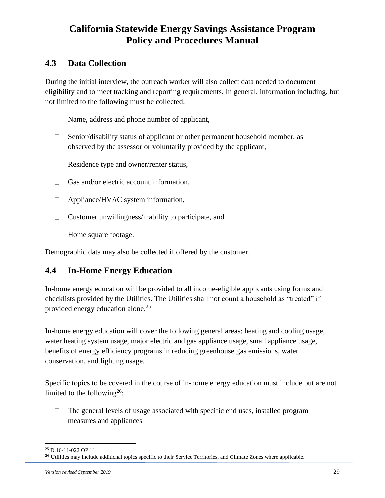### <span id="page-28-0"></span>**4.3 Data Collection**

During the initial interview, the outreach worker will also collect data needed to document eligibility and to meet tracking and reporting requirements. In general, information including, but not limited to the following must be collected:

- Name, address and phone number of applicant,  $\Box$
- Senior/disability status of applicant or other permanent household member, as  $\Box$ observed by the assessor or voluntarily provided by the applicant,
- $\Box$ Residence type and owner/renter status,
- $\Box$  Gas and/or electric account information,
- Appliance/HVAC system information,  $\Box$
- $\Box$ Customer unwillingness/inability to participate, and
- $\Box$ Home square footage.

Demographic data may also be collected if offered by the customer.

### <span id="page-28-1"></span>**4.4 In-Home Energy Education**

In-home energy education will be provided to all income-eligible applicants using forms and checklists provided by the Utilities. The Utilities shall not count a household as "treated" if provided energy education alone.<sup>25</sup>

In-home energy education will cover the following general areas: heating and cooling usage, water heating system usage, major electric and gas appliance usage, small appliance usage, benefits of energy efficiency programs in reducing greenhouse gas emissions, water conservation, and lighting usage.

Specific topics to be covered in the course of in-home energy education must include but are not limited to the following<sup>26</sup>:

 $\Box$ The general levels of usage associated with specific end uses, installed program measures and appliances

<sup>25</sup> D.16-11-022 OP 11.

<sup>&</sup>lt;sup>26</sup> Utilities may include additional topics specific to their Service Territories, and Climate Zones where applicable.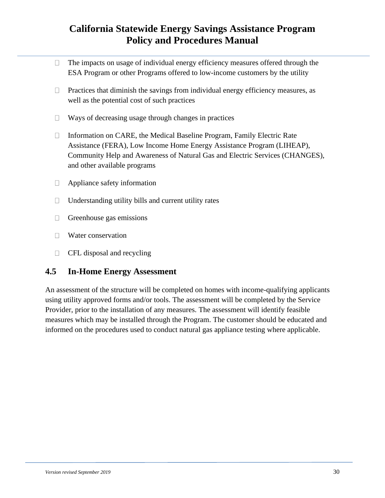- The impacts on usage of individual energy efficiency measures offered through the  $\Box$ ESA Program or other Programs offered to low-income customers by the utility
- Practices that diminish the savings from individual energy efficiency measures, as  $\Box$ well as the potential cost of such practices
- Ways of decreasing usage through changes in practices  $\Box$
- Information on CARE, the Medical Baseline Program, Family Electric Rate  $\Box$ Assistance (FERA), Low Income Home Energy Assistance Program (LIHEAP), Community Help and Awareness of Natural Gas and Electric Services (CHANGES), and other available programs
- $\Box$ Appliance safety information
- Understanding utility bills and current utility rates  $\Box$
- $\Box$ Greenhouse gas emissions
- **Water conservation**
- $\Box$ CFL disposal and recycling

### <span id="page-29-0"></span>**4.5 In-Home Energy Assessment**

An assessment of the structure will be completed on homes with income-qualifying applicants using utility approved forms and/or tools. The assessment will be completed by the Service Provider, prior to the installation of any measures. The assessment will identify feasible measures which may be installed through the Program. The customer should be educated and informed on the procedures used to conduct natural gas appliance testing where applicable.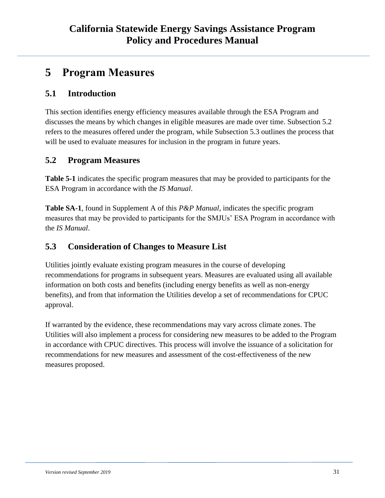# <span id="page-30-0"></span>**5 Program Measures**

### <span id="page-30-1"></span>**5.1 Introduction**

This section identifies energy efficiency measures available through the ESA Program and discusses the means by which changes in eligible measures are made over time. Subsection 5.2 refers to the measures offered under the program, while Subsection 5.3 outlines the process that will be used to evaluate measures for inclusion in the program in future years.

### <span id="page-30-2"></span>**5.2 Program Measures**

**Table 5-1** indicates the specific program measures that may be provided to participants for the ESA Program in accordance with the *IS Manual*.

**Table SA-1**, found in Supplement A of this *P&P Manual*, indicates the specific program measures that may be provided to participants for the SMJUs' ESA Program in accordance with the *IS Manual*.

### <span id="page-30-3"></span>**5.3 Consideration of Changes to Measure List**

Utilities jointly evaluate existing program measures in the course of developing recommendations for programs in subsequent years. Measures are evaluated using all available information on both costs and benefits (including energy benefits as well as non-energy benefits), and from that information the Utilities develop a set of recommendations for CPUC approval.

If warranted by the evidence, these recommendations may vary across climate zones. The Utilities will also implement a process for considering new measures to be added to the Program in accordance with CPUC directives. This process will involve the issuance of a solicitation for recommendations for new measures and assessment of the cost-effectiveness of the new measures proposed.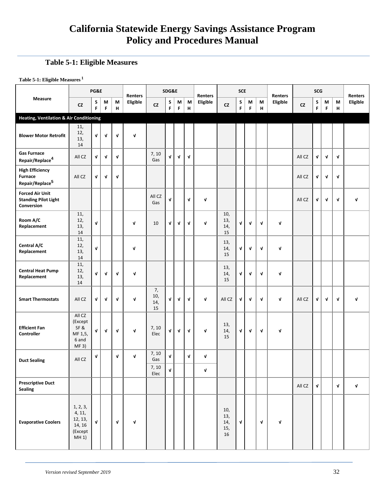#### <span id="page-31-0"></span>**Table 5-1: Eligible Measures**

**Table 5-1: Eligible Measures <sup>1</sup>**

|                                                                         |                                                             | PG&E         |             |                                | <b>Renters</b> |                        | SDG&E       |              |              | Renters     |                                | <b>SCE</b>   |             |              | <b>Renters</b> |            | SCG          |              |        | <b>Renters</b> |
|-------------------------------------------------------------------------|-------------------------------------------------------------|--------------|-------------|--------------------------------|----------------|------------------------|-------------|--------------|--------------|-------------|--------------------------------|--------------|-------------|--------------|----------------|------------|--------------|--------------|--------|----------------|
| Measure                                                                 | CZ                                                          | S<br>F       | M<br>F      | М<br>$\boldsymbol{\mathsf{H}}$ | Eligible       | ${\sf cz}$             | S<br>F      | M<br>F       | M<br>н       | Eligible    | ${\sf cz}$                     | S<br>F       | М<br>F      | М<br>н       | Eligible       | ${\sf cz}$ | S<br>F       | М<br>F       | M<br>н | Eligible       |
| <b>Heating, Ventilation &amp; Air Conditioning</b>                      |                                                             |              |             |                                |                |                        |             |              |              |             |                                |              |             |              |                |            |              |              |        |                |
| <b>Blower Motor Retrofit</b>                                            | 11,<br>12,<br>13,<br>14                                     | V            | V           | $\mathbf v$                    | $\mathbf v$    |                        |             |              |              |             |                                |              |             |              |                |            |              |              |        |                |
| <b>Gas Furnace</b><br>Repair/Replace <sup>4</sup>                       | All CZ                                                      | V            | V           | $\mathbf{v}$                   |                | 7, 10<br>Gas           | V           | $\mathbf{v}$ | $\mathbf{v}$ |             |                                |              |             |              |                | All CZ     | V            | $\mathbf{v}$ | V      |                |
| <b>High Efficiency</b><br><b>Furnace</b><br>Repair/Replace <sup>5</sup> | All CZ                                                      | V            | $\sqrt{ }$  | $\mathbf v$                    |                |                        |             |              |              |             |                                |              |             |              |                | All CZ     | V            | $\mathbf{v}$ | V      |                |
| <b>Forced Air Unit</b><br><b>Standing Pilot Light</b><br>Conversion     |                                                             |              |             |                                |                | All CZ<br>Gas          | V           |              | V            | V           |                                |              |             |              |                | All CZ     | V            | V            | V      | V              |
| Room A/C<br>Replacement                                                 | 11,<br>12,<br>13,<br>14                                     | $\mathbf v$  |             |                                | $\mathbf v$    | 10                     | V           | $\mathbf{v}$ | V            | $\sqrt{ }$  | 10,<br>13,<br>14,<br>15        | $\mathbf{v}$ | $\mathbf v$ | $\mathbf v$  | $\mathbf{v}$   |            |              |              |        |                |
| Central A/C<br>Replacement                                              | 11,<br>12,<br>13,<br>14                                     | V            |             |                                | V              |                        |             |              |              |             | 13,<br>14,<br>15               | V            | V           | V            | $\mathbf v$    |            |              |              |        |                |
| <b>Central Heat Pump</b><br>Replacement                                 | 11,<br>12,<br>13,<br>14                                     | V            | V           | V                              | $\mathbf v$    |                        |             |              |              |             | 13,<br>14,<br>15               | $\mathbf{v}$ | V           | V            | V              |            |              |              |        |                |
| <b>Smart Thermostats</b>                                                | All CZ                                                      | V            | V           | $\mathbf{v}$                   | $\mathbf{v}$   | 7,<br>10,<br>14,<br>15 | V           | $\mathbf{v}$ | $\mathbf{v}$ | V           | All CZ                         | $\mathbf{v}$ | $\mathbf v$ | V            | $\mathbf{v}$   | All CZ     | V            | $\mathbf v$  | V      | $\mathbf v$    |
| <b>Efficient Fan</b><br>Controller                                      | All CZ<br>(Except<br>SF&<br>MF 1,5,<br>6 and<br>MF 3)       | V            | $\mathbf v$ | V                              | $\mathbf v$    | 7, 10<br>Elec          | V           | V            | V            | V           | 13,<br>14,<br>15               | $\sqrt{ }$   | V           | V            | V              |            |              |              |        |                |
| <b>Duct Sealing</b>                                                     | All CZ                                                      | V            |             | V                              | V              | 7, 10<br>Gas<br>7, 10  | V           |              | V            | V           |                                |              |             |              |                |            |              |              |        |                |
|                                                                         |                                                             |              |             |                                |                | Elec                   | $\mathbf v$ |              |              | $\mathbf v$ |                                |              |             |              |                |            |              |              |        |                |
| <b>Prescriptive Duct</b><br><b>Sealing</b>                              |                                                             |              |             |                                |                |                        |             |              |              |             |                                |              |             |              |                | All CZ     | $\mathbf{v}$ |              | V      | $\mathbf v$    |
| <b>Evaporative Coolers</b>                                              | 1, 2, 3,<br>4, 11,<br>12, 13,<br>14, 16<br>(Except<br>MH 1) | $\mathbf{v}$ |             | $\mathbf{v}$                   | V              |                        |             |              |              |             | 10,<br>13,<br>14,<br>15,<br>16 | $\mathbf{v}$ |             | $\mathbf{v}$ | V              |            |              |              |        |                |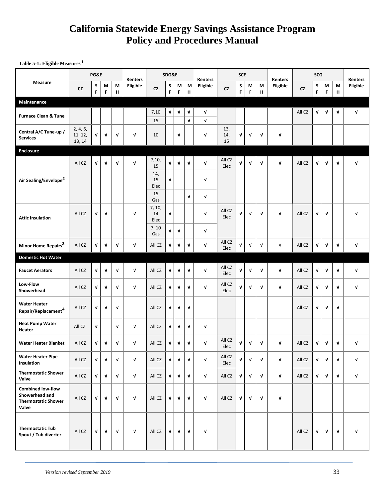**Table 5-1: Eligible Measures <sup>1</sup>**

|                                                                                   |                               | PG&E         |              |              | Renters  |                             | SDG&E       |                    |                         | Renters    |                  | <b>SCE</b> |             |             | Renters    |           | <b>SCG</b>             |             |        | Renters<br>Eligible |
|-----------------------------------------------------------------------------------|-------------------------------|--------------|--------------|--------------|----------|-----------------------------|-------------|--------------------|-------------------------|------------|------------------|------------|-------------|-------------|------------|-----------|------------------------|-------------|--------|---------------------|
| Measure                                                                           | <b>CZ</b>                     | S<br>F       | M<br>F       | M<br>н       | Eligible | <b>CZ</b>                   | S<br>F      | M<br>F             | M<br>н                  | Eligible   | <b>CZ</b>        | S<br>F     | M<br>F      | М<br>н      | Eligible   | <b>CZ</b> | $\sf S$<br>$\mathsf F$ | М<br>F      | M<br>н |                     |
| Maintenance                                                                       |                               |              |              |              |          |                             |             |                    |                         |            |                  |            |             |             |            |           |                        |             |        |                     |
| <b>Furnace Clean &amp; Tune</b>                                                   |                               |              |              |              |          | 7,10<br>15                  | $\mathbf v$ | $\mathbf v$        | V<br>$\pmb{\mathsf{v}}$ | V<br>V     |                  |            |             |             |            | All CZ    | $\mathbf v$            | $\mathbf v$ | V      | V                   |
| Central A/C Tune-up /<br><b>Services</b>                                          | 2, 4, 6,<br>11, 12,<br>13, 14 | V            | V            | V            | V        | 10                          |             | V                  |                         | V          | 13,<br>14,<br>15 | V          | V           | V           | V          |           |                        |             |        |                     |
| <b>Enclosure</b>                                                                  |                               |              |              |              |          |                             |             |                    |                         |            |                  |            |             |             |            |           |                        |             |        |                     |
|                                                                                   | All CZ                        | $\mathbf v$  | $\mathbf v$  | $\mathbf{v}$ | V        | 7,10,<br>15<br>14,          | V           | $\sqrt{ }$         | V                       | V          | All CZ<br>Elec   | V          | $\mathbf v$ | $\mathbf v$ | V          | All CZ    | $\mathbf v$            | V           | V      | V                   |
| Air Sealing/Envelope <sup>2</sup>                                                 |                               |              |              |              |          | 15<br>Elec<br>15            | V           |                    | $\mathbf v$             | V<br>V     |                  |            |             |             |            |           |                        |             |        |                     |
| <b>Attic Insulation</b>                                                           | All CZ                        | V            | $\mathbf v$  |              | V        | Gas<br>7, 10,<br>14<br>Elec | V           |                    |                         | V          | All CZ<br>Elec   | V          | V           | V           | V          | All CZ    | V                      | V           |        | V                   |
|                                                                                   |                               |              |              |              |          | 7, 10<br>Gas                | $\mathbf v$ | $\mathbf{v}$       |                         | V          |                  |            |             |             |            |           |                        |             |        |                     |
| Minor Home Repairs <sup>3</sup>                                                   | All CZ                        | V            | Λ            | V            | V        | All CZ                      | V           | V                  | V                       | V          | All CZ<br>Elec   | V          | $\sqrt{ }$  | $\sqrt{ }$  | $\sqrt{ }$ | All CZ    | V                      | V           | V      | V                   |
| <b>Domestic Hot Water</b>                                                         |                               |              |              |              |          |                             |             |                    |                         |            |                  |            |             |             |            |           |                        |             |        |                     |
| <b>Faucet Aerators</b>                                                            | All CZ                        | V            | V            | V            | V        | All CZ                      | V           | V                  | V                       | V          | All CZ<br>Elec   | V          | V           | V           | V          | All CZ    | V                      | V           | V      | V                   |
| Low-Flow<br>Showerhead                                                            | All CZ                        | $\mathbf v$  | $\mathbf{v}$ | $\mathbf v$  | V        | All CZ                      | V           | $\mathbf{v}$       | $\mathbf v$             | V          | All CZ<br>Elec   | V          | $\mathbf v$ | $\mathbf v$ | V          | All CZ    | V                      | V           | V      | V                   |
| <b>Water Heater</b><br>Repair/Replacement <sup>4</sup>                            | All CZ                        | V            | V            | V            |          | All CZ                      | V           | $\mathbf v$        | $\mathbf v$             |            |                  |            |             |             |            | All CZ    | V                      | V           | V      |                     |
| <b>Heat Pump Water</b><br>Heater                                                  | All CZ                        | V            |              | V            | V        | All CZ                      | V           | V                  | $\mathbf v$             | V          |                  |            |             |             |            |           |                        |             |        |                     |
| <b>Water Heater Blanket</b>                                                       | All CZ                        | V            | V            | V            | V        | All CZ                      | V           | $\pmb{\mathsf{v}}$ | V                       | V          | All CZ<br>Elec   | V          | V           | $\mathbf v$ | V          | All CZ    | $\mathbf v$            | V           | V      | V                   |
| <b>Water Heater Pipe</b><br>Insulation                                            | All CZ                        | $\mathbf v$  | V            | $\mathbf v$  | V        | All CZ                      | V           | $\mathbf v$        | V                       | $\sqrt{ }$ | All CZ<br>Elec   | V          | V           | $\mathbf v$ | V          | All CZ    | $\mathbf v$            | $\mathbf v$ | V      | V                   |
| <b>Thermostatic Shower</b><br>Valve                                               | All CZ                        | $\mathbf{v}$ | $\mathbf v$  | V            | V        | All CZ                      | V           | $\mathbf{v}$       | V                       | V          | All CZ           | V          | $\mathbf v$ | $\mathbf v$ | V          | All CZ    | $\mathbf{v}$           | $\mathbf v$ | V      | V                   |
| <b>Combined low-flow</b><br>Showerhead and<br><b>Thermostatic Shower</b><br>Valve | All CZ                        | V            | V            | V            | V        | All CZ                      | V           | V                  | V                       | V          | All CZ           | V          | V           | V           | V          |           |                        |             |        |                     |
| <b>Thermostatic Tub</b><br>Spout / Tub diverter                                   | All CZ                        | $\mathbf v$  | $\mathbf v$  | $\mathbf{v}$ | V        | All CZ                      | V           | $\sqrt{ }$         | V                       | V          |                  |            |             |             |            | All CZ    | $\mathbf v$            | $\mathbf v$ | V      | V                   |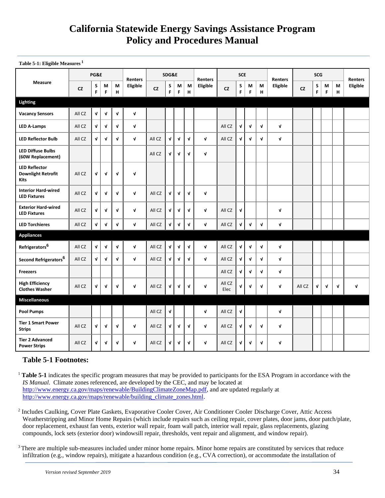| Table 5-1: Eligible Measures <sup>1</sup> |           |                 |         |        |          |     |
|-------------------------------------------|-----------|-----------------|---------|--------|----------|-----|
|                                           |           | <b>PG&amp;E</b> | Renters |        |          |     |
| Measure                                   | <b>CZ</b> | S<br>F          | М       | М<br>н | Eligible | CZ. |
| .                                         |           |                 |         |        |          |     |

|                                                           |           | PG&E   |              |              | <b>Renters</b> | SDG&E     |              |              |              | <b>Renters</b> |                | <b>SCE</b>         |              |              | <b>Renters</b> |           | <b>Renters</b> |        |            |          |
|-----------------------------------------------------------|-----------|--------|--------------|--------------|----------------|-----------|--------------|--------------|--------------|----------------|----------------|--------------------|--------------|--------------|----------------|-----------|----------------|--------|------------|----------|
| <b>Measure</b>                                            | <b>CZ</b> | S<br>F | M<br>F       | M<br>н       | Eligible       | <b>CZ</b> | S<br>F       | М<br>F       | M<br>н       | Eligible       | <b>CZ</b>      | S<br>F             | М<br>F       | М<br>H       | Eligible       | <b>CZ</b> | S<br>F         | М<br>F | M<br>н     | Eligible |
| Lighting                                                  |           |        |              |              |                |           |              |              |              |                |                |                    |              |              |                |           |                |        |            |          |
| <b>Vacancy Sensors</b>                                    | All CZ    | V      | V            | V            | $\mathbf{v}$   |           |              |              |              |                |                |                    |              |              |                |           |                |        |            |          |
| <b>LED A-Lamps</b>                                        | All CZ    | V      | $\mathbf{v}$ | $\mathbf{v}$ | $\mathbf{v}$   |           |              |              |              |                | All CZ         | $\mathbf{v}$       | $\mathbf v$  | $\mathbf{v}$ | $\mathbf{v}$   |           |                |        |            |          |
| <b>LED Reflector Bulb</b>                                 | All CZ    | V      | $\mathbf{v}$ | V            | $\mathbf v$    | All CZ    | $\mathbf v$  | $\mathbf{v}$ | $\mathbf{v}$ | $\mathbf{v}$   | All CZ         | V                  | $\mathbf{v}$ | $\mathbf v$  | $\mathbf{v}$   |           |                |        |            |          |
| <b>LED Diffuse Bulbs</b><br>(60W Replacement)             |           |        |              |              |                | All CZ    | $\mathbf v$  | V            | $\mathbf{v}$ | $\mathbf{v}$   |                |                    |              |              |                |           |                |        |            |          |
| <b>LED Reflector</b><br><b>Downlight Retrofit</b><br>Kits | All CZ    | V      | $\mathbf{v}$ | V            | $\mathbf v$    |           |              |              |              |                |                |                    |              |              |                |           |                |        |            |          |
| <b>Interior Hard-wired</b><br><b>LED Fixtures</b>         | All CZ    | V      | $\mathbf{v}$ | $\mathbf{v}$ | $\mathbf v$    | All CZ    | $\mathbf{v}$ | $\mathbf v$  | $\mathbf{v}$ | $\mathbf{v}$   |                |                    |              |              |                |           |                |        |            |          |
| <b>Exterior Hard-wired</b><br><b>LED Fixtures</b>         | All CZ    | V      | $\mathbf{v}$ | $\mathbf{v}$ | $\mathbf{v}$   | All CZ    | $\mathbf v$  | $\mathbf v$  | $\mathbf v$  | $\mathbf{v}$   | All CZ         | $\mathbf{v}$       |              |              | $\mathbf v$    |           |                |        |            |          |
| <b>LED Torchieres</b>                                     | All CZ    | V      | $\mathbf v$  | $\mathbf{v}$ | $\mathbf v$    | All CZ    | $\mathbf v$  | $\mathbf v$  | $\mathbf v$  | $\mathbf{v}$   | All CZ         | V                  | $\mathbf v$  | $\mathbf v$  | $\mathbf{v}$   |           |                |        |            |          |
| <b>Appliances</b>                                         |           |        |              |              |                |           |              |              |              |                |                |                    |              |              |                |           |                |        |            |          |
| Refrigerators <sup>6</sup>                                | All CZ    | V      | V            | V            | $\mathbf{v}$   | All CZ    | $\mathbf v$  | $\mathbf v$  | $\mathbf v$  | $\mathbf{v}$   | All CZ         | $\pmb{\mathsf{v}}$ | $\sqrt{ }$   | $\mathbf v$  | $\mathbf v$    |           |                |        |            |          |
| Second Refrigerators <sup>6</sup>                         | All CZ    | V      | $\mathbf{v}$ | $\mathbf{v}$ | $\mathbf{v}$   | All CZ    | $\mathbf v$  | $\mathbf v$  | $\mathbf{v}$ | $\mathbf{v}$   | All CZ         | $\mathbf{v}$       | $\mathbf{v}$ | V            | $\mathbf{v}$   |           |                |        |            |          |
| <b>Freezers</b>                                           |           |        |              |              |                |           |              |              |              |                | All CZ         | $\mathbf{v}$       | $\mathbf{v}$ | $\mathbf{v}$ | $\mathbf{v}$   |           |                |        |            |          |
| <b>High Efficiency</b><br><b>Clothes Washer</b>           | All CZ    | V      | V            | V            | $\mathbf v$    | All CZ    | $\mathbf v$  | V            | $\mathbf{v}$ | $\mathbf v$    | All CZ<br>Elec | V                  | V            | V            | V              | All CZ    | V              | V      | $\sqrt{ }$ | V        |
| <b>Miscellaneous</b>                                      |           |        |              |              |                |           |              |              |              |                |                |                    |              |              |                |           |                |        |            |          |
| <b>Pool Pumps</b>                                         |           |        |              |              |                | All CZ    | $\mathbf v$  |              |              | $\mathbf{v}$   | All CZ         | $\mathbf v$        |              |              | $\mathbf{v}$   |           |                |        |            |          |
| <b>Tier 1 Smart Power</b><br><b>Strips</b>                | All CZ    | V      | V            | V            | $\mathbf{v}$   | All CZ    | $\mathbf v$  | $\mathbf v$  | $\mathbf{v}$ | $\mathbf{v}$   | All CZ         | V                  | $\mathbf v$  | V            | $\mathbf v$    |           |                |        |            |          |
| <b>Tier 2 Advanced</b><br><b>Power Strips</b>             | All CZ    | V      | V            | V            | V              | All CZ    | V            | V            | V            | $\mathbf{v}$   | All CZ         | V                  | V            | V            | $\mathbf v$    |           |                |        |            |          |

### **Table 5-1 Footnotes:**

<sup>1</sup> **Table 5-1** indicates the specific program measures that may be provided to participants for the ESA Program in accordance with the *IS Manual*. Climate zones referenced, are developed by the CEC, and may be located at [http://www.energy.ca.gov/maps/renewable/BuildingClimateZoneMap.pdf,](http://www.energy.ca.gov/maps/renewable/BuildingClimateZoneMap.pdf) and are updated regularly at [http://www.energy.ca.gov/maps/renewable/building\\_climate\\_zones.html.](http://www.energy.ca.gov/maps/renewable/building_climate_zones.html)

<sup>2</sup> Includes Caulking, Cover Plate Gaskets, Evaporative Cooler Cover, Air Conditioner Cooler Discharge Cover, Attic Access Weatherstripping and Minor Home Repairs (which include repairs such as ceiling repair, cover plates, door jams, door patch/plate, door replacement, exhaust fan vents, exterior wall repair, foam wall patch, interior wall repair, glass replacements, glazing compounds, lock sets (exterior door) windowsill repair, thresholds, vent repair and alignment, and window repair).

<sup>3</sup> There are multiple sub-measures included under minor home repairs. Minor home repairs are constituted by services that reduce infiltration (e.g., window repairs), mitigate a hazardous condition (e.g., CVA correction), or accommodate the installation of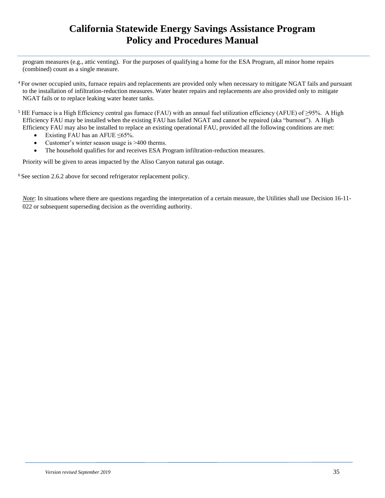program measures (e.g., attic venting). For the purposes of qualifying a home for the ESA Program, all minor home repairs (combined) count as a single measure.

- <sup>4</sup> For owner occupied units, furnace repairs and replacements are provided only when necessary to mitigate NGAT fails and pursuant to the installation of infiltration-reduction measures. Water heater repairs and replacements are also provided only to mitigate NGAT fails or to replace leaking water heater tanks.
- <sup>5</sup> HE Furnace is a High Efficiency central gas furnace (FAU) with an annual fuel utilization efficiency (AFUE) of  $\geq$ 95%. A High Efficiency FAU may be installed when the existing FAU has failed NGAT and cannot be repaired (aka "burnout"). A High Efficiency FAU may also be installed to replace an existing operational FAU, provided all the following conditions are met:
	- Existing FAU has an AFUE ≤65%.
	- Customer's winter season usage is >400 therms.
	- The household qualifies for and receives ESA Program infiltration-reduction measures.

Priority will be given to areas impacted by the Aliso Canyon natural gas outage.

<sup>6</sup> See section 2.6.2 above for second refrigerator replacement policy.

*Note*: In situations where there are questions regarding the interpretation of a certain measure, the Utilities shall use Decision 16-11-022 or subsequent superseding decision as the overriding authority.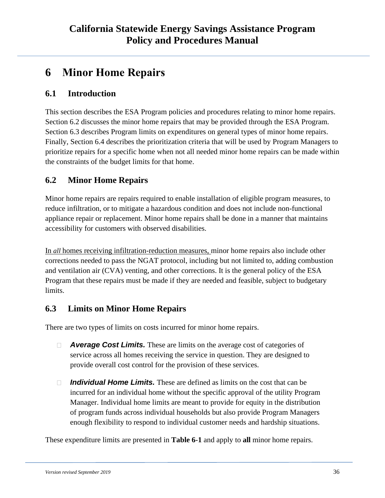# <span id="page-35-0"></span>**6 Minor Home Repairs**

### <span id="page-35-1"></span>**6.1 Introduction**

This section describes the ESA Program policies and procedures relating to minor home repairs. Section 6.2 discusses the minor home repairs that may be provided through the ESA Program. Section 6.3 describes Program limits on expenditures on general types of minor home repairs. Finally, Section 6.4 describes the prioritization criteria that will be used by Program Managers to prioritize repairs for a specific home when not all needed minor home repairs can be made within the constraints of the budget limits for that home.

### <span id="page-35-2"></span>**6.2 Minor Home Repairs**

Minor home repairs are repairs required to enable installation of eligible program measures, to reduce infiltration, or to mitigate a hazardous condition and does not include non-functional appliance repair or replacement. Minor home repairs shall be done in a manner that maintains accessibility for customers with observed disabilities.

In *all* homes receiving infiltration-reduction measures, minor home repairs also include other corrections needed to pass the NGAT protocol, including but not limited to, adding combustion and ventilation air (CVA) venting, and other corrections. It is the general policy of the ESA Program that these repairs must be made if they are needed and feasible, subject to budgetary limits.

### <span id="page-35-3"></span>**6.3 Limits on Minor Home Repairs**

There are two types of limits on costs incurred for minor home repairs.

- *Average Cost Limits.* These are limits on the average cost of categories of  $\Box$ service across all homes receiving the service in question. They are designed to provide overall cost control for the provision of these services.
- *Individual Home Limits.* These are defined as limits on the cost that can be  $\Box$ incurred for an individual home without the specific approval of the utility Program Manager. Individual home limits are meant to provide for equity in the distribution of program funds across individual households but also provide Program Managers enough flexibility to respond to individual customer needs and hardship situations.

These expenditure limits are presented in **Table 6-1** and apply to **all** minor home repairs.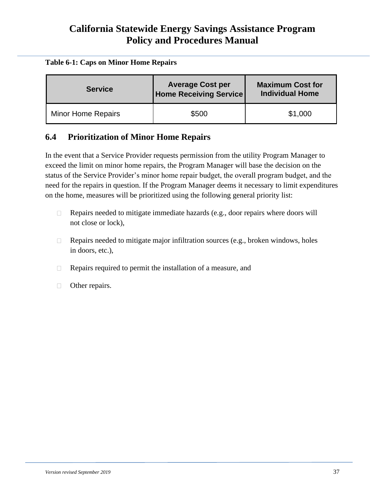#### <span id="page-36-1"></span>**Table 6-1: Caps on Minor Home Repairs**

| <b>Service</b>            | <b>Average Cost per</b><br><b>Home Receiving Service</b> | <b>Maximum Cost for</b><br><b>Individual Home</b> |
|---------------------------|----------------------------------------------------------|---------------------------------------------------|
| <b>Minor Home Repairs</b> | \$500                                                    | \$1,000                                           |

### <span id="page-36-0"></span>**6.4 Prioritization of Minor Home Repairs**

In the event that a Service Provider requests permission from the utility Program Manager to exceed the limit on minor home repairs, the Program Manager will base the decision on the status of the Service Provider's minor home repair budget, the overall program budget, and the need for the repairs in question. If the Program Manager deems it necessary to limit expenditures on the home, measures will be prioritized using the following general priority list:

- Repairs needed to mitigate immediate hazards (e.g., door repairs where doors will  $\Box$ not close or lock),
- Repairs needed to mitigate major infiltration sources (e.g., broken windows, holes  $\Box$ in doors, etc.),
- Repairs required to permit the installation of a measure, and  $\Box$
- Other repairs. $\Box$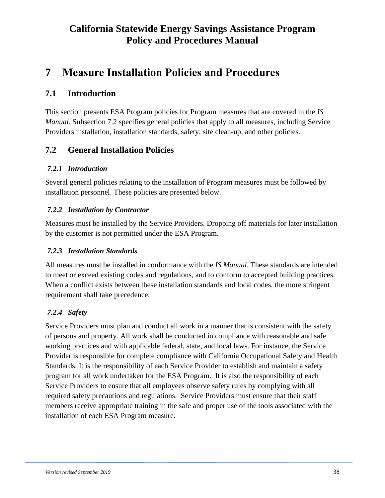# <span id="page-37-0"></span>**7 Measure Installation Policies and Procedures**

### <span id="page-37-1"></span>**7.1 Introduction**

This section presents ESA Program policies for Program measures that are covered in the *IS Manual*. Subsection 7.2 specifies general policies that apply to all measures, including Service Providers installation, installation standards, safety, site clean-up, and other policies.

### <span id="page-37-2"></span>**7.2 General Installation Policies**

#### <span id="page-37-3"></span>*7.2.1 Introduction*

Several general policies relating to the installation of Program measures must be followed by installation personnel. These policies are presented below.

#### <span id="page-37-4"></span>*7.2.2 Installation by Contractor*

Measures must be installed by the Service Providers. Dropping off materials for later installation by the customer is not permitted under the ESA Program.

#### <span id="page-37-5"></span>*7.2.3 Installation Standards*

All measures must be installed in conformance with the *IS Manual*. These standards are intended to meet or exceed existing codes and regulations, and to conform to accepted building practices. When a conflict exists between these installation standards and local codes, the more stringent requirement shall take precedence.

### <span id="page-37-6"></span>*7.2.4 Safety*

Service Providers must plan and conduct all work in a manner that is consistent with the safety of persons and property. All work shall be conducted in compliance with reasonable and safe working practices and with applicable federal, state, and local laws. For instance, the Service Provider is responsible for complete compliance with California Occupational Safety and Health Standards. It is the responsibility of each Service Provider to establish and maintain a safety program for all work undertaken for the ESA Program. It is also the responsibility of each Service Providers to ensure that all employees observe safety rules by complying with all required safety precautions and regulations. Service Providers must ensure that their staff members receive appropriate training in the safe and proper use of the tools associated with the installation of each ESA Program measure.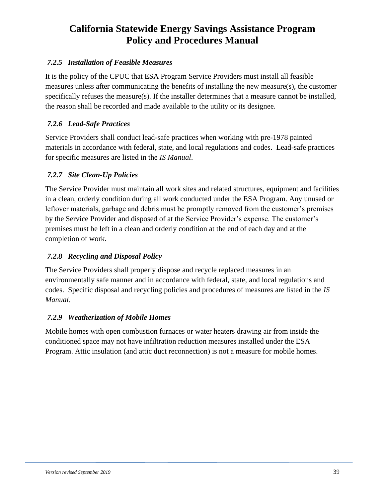### <span id="page-38-0"></span>*7.2.5 Installation of Feasible Measures*

It is the policy of the CPUC that ESA Program Service Providers must install all feasible measures unless after communicating the benefits of installing the new measure(s), the customer specifically refuses the measure(s). If the installer determines that a measure cannot be installed, the reason shall be recorded and made available to the utility or its designee.

### <span id="page-38-1"></span>*7.2.6 Lead-Safe Practices*

Service Providers shall conduct lead-safe practices when working with pre-1978 painted materials in accordance with federal, state, and local regulations and codes. Lead-safe practices for specific measures are listed in the *IS Manual*.

### <span id="page-38-2"></span>*7.2.7 Site Clean-Up Policies*

The Service Provider must maintain all work sites and related structures, equipment and facilities in a clean, orderly condition during all work conducted under the ESA Program. Any unused or leftover materials, garbage and debris must be promptly removed from the customer's premises by the Service Provider and disposed of at the Service Provider's expense. The customer's premises must be left in a clean and orderly condition at the end of each day and at the completion of work.

### <span id="page-38-3"></span>*7.2.8 Recycling and Disposal Policy*

The Service Providers shall properly dispose and recycle replaced measures in an environmentally safe manner and in accordance with federal, state, and local regulations and codes. Specific disposal and recycling policies and procedures of measures are listed in the *IS Manual*.

### <span id="page-38-4"></span>*7.2.9 Weatherization of Mobile Homes*

Mobile homes with open combustion furnaces or water heaters drawing air from inside the conditioned space may not have infiltration reduction measures installed under the ESA Program. Attic insulation (and attic duct reconnection) is not a measure for mobile homes.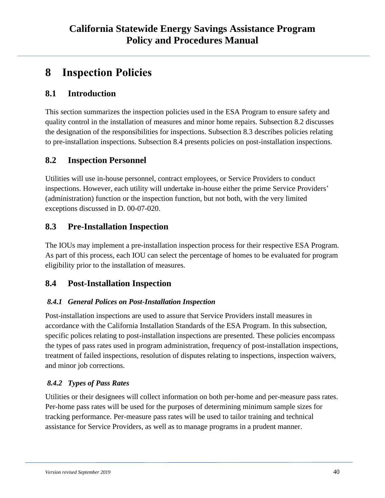# <span id="page-39-0"></span>**8 Inspection Policies**

### <span id="page-39-1"></span>**8.1 Introduction**

This section summarizes the inspection policies used in the ESA Program to ensure safety and quality control in the installation of measures and minor home repairs. Subsection 8.2 discusses the designation of the responsibilities for inspections. Subsection 8.3 describes policies relating to pre-installation inspections. Subsection 8.4 presents policies on post-installation inspections.

### <span id="page-39-2"></span>**8.2 Inspection Personnel**

Utilities will use in-house personnel, contract employees, or Service Providers to conduct inspections. However, each utility will undertake in-house either the prime Service Providers' (administration) function or the inspection function, but not both, with the very limited exceptions discussed in D. 00-07-020.

### <span id="page-39-3"></span>**8.3 Pre-Installation Inspection**

The IOUs may implement a pre-installation inspection process for their respective ESA Program. As part of this process, each IOU can select the percentage of homes to be evaluated for program eligibility prior to the installation of measures.

### <span id="page-39-4"></span>**8.4 Post-Installation Inspection**

### <span id="page-39-5"></span>*8.4.1 General Polices on Post-Installation Inspection*

Post-installation inspections are used to assure that Service Providers install measures in accordance with the California Installation Standards of the ESA Program. In this subsection, specific polices relating to post-installation inspections are presented. These policies encompass the types of pass rates used in program administration, frequency of post-installation inspections, treatment of failed inspections, resolution of disputes relating to inspections, inspection waivers, and minor job corrections.

### <span id="page-39-6"></span>*8.4.2 Types of Pass Rates*

Utilities or their designees will collect information on both per-home and per-measure pass rates. Per-home pass rates will be used for the purposes of determining minimum sample sizes for tracking performance. Per-measure pass rates will be used to tailor training and technical assistance for Service Providers, as well as to manage programs in a prudent manner.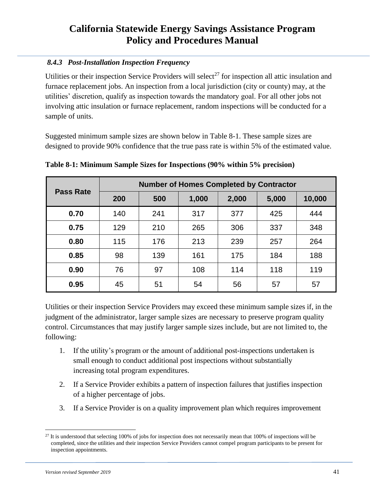### <span id="page-40-0"></span>*8.4.3 Post-Installation Inspection Frequency*

Utilities or their inspection Service Providers will select<sup>27</sup> for inspection all attic insulation and furnace replacement jobs. An inspection from a local jurisdiction (city or county) may, at the utilities' discretion, qualify as inspection towards the mandatory goal. For all other jobs not involving attic insulation or furnace replacement, random inspections will be conducted for a sample of units.

Suggested minimum sample sizes are shown below in Table 8-1. These sample sizes are designed to provide 90% confidence that the true pass rate is within 5% of the estimated value.

| <b>Pass Rate</b> |     | <b>Number of Homes Completed by Contractor</b> |       |       |       |        |
|------------------|-----|------------------------------------------------|-------|-------|-------|--------|
|                  | 200 | 500                                            | 1,000 | 2,000 | 5,000 | 10,000 |
| 0.70             | 140 | 241                                            | 317   | 377   | 425   | 444    |
| 0.75             | 129 | 210                                            | 265   | 306   | 337   | 348    |
| 0.80             | 115 | 176                                            | 213   | 239   | 257   | 264    |
| 0.85             | 98  | 139                                            | 161   | 175   | 184   | 188    |
| 0.90             | 76  | 97                                             | 108   | 114   | 118   | 119    |
| 0.95             | 45  | 51                                             | 54    | 56    | 57    | 57     |

<span id="page-40-1"></span>**Table 8-1: Minimum Sample Sizes for Inspections (90% within 5% precision)**

Utilities or their inspection Service Providers may exceed these minimum sample sizes if, in the judgment of the administrator, larger sample sizes are necessary to preserve program quality control. Circumstances that may justify larger sample sizes include, but are not limited to, the following:

- 1. If the utility's program or the amount of additional post-inspections undertaken is small enough to conduct additional post inspections without substantially increasing total program expenditures.
- 2. If a Service Provider exhibits a pattern of inspection failures that justifies inspection of a higher percentage of jobs.
- 3. If a Service Provider is on a quality improvement plan which requires improvement

 $27$  It is understood that selecting 100% of jobs for inspection does not necessarily mean that 100% of inspections will be completed, since the utilities and their inspection Service Providers cannot compel program participants to be present for inspection appointments.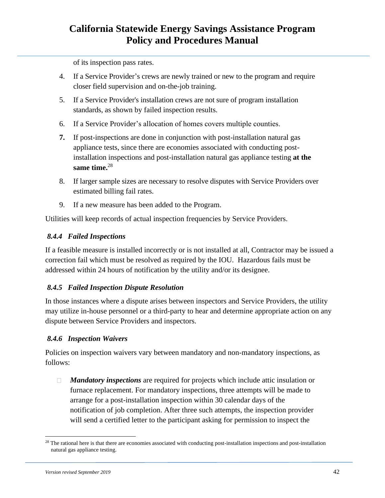of its inspection pass rates.

- 4. If a Service Provider's crews are newly trained or new to the program and require closer field supervision and on-the-job training.
- 5. If a Service Provider's installation crews are not sure of program installation standards, as shown by failed inspection results.
- 6. If a Service Provider's allocation of homes covers multiple counties.
- **7.** If post-inspections are done in conjunction with post-installation natural gas appliance tests, since there are economies associated with conducting postinstallation inspections and post-installation natural gas appliance testing **at the same time.**<sup>28</sup>
- 8. If larger sample sizes are necessary to resolve disputes with Service Providers over estimated billing fail rates.
- 9. If a new measure has been added to the Program.

Utilities will keep records of actual inspection frequencies by Service Providers.

#### <span id="page-41-0"></span>*8.4.4 Failed Inspections*

If a feasible measure is installed incorrectly or is not installed at all, Contractor may be issued a correction fail which must be resolved as required by the IOU. Hazardous fails must be addressed within 24 hours of notification by the utility and/or its designee.

#### <span id="page-41-1"></span>*8.4.5 Failed Inspection Dispute Resolution*

In those instances where a dispute arises between inspectors and Service Providers, the utility may utilize in-house personnel or a third-party to hear and determine appropriate action on any dispute between Service Providers and inspectors.

#### <span id="page-41-2"></span>*8.4.6 Inspection Waivers*

Policies on inspection waivers vary between mandatory and non-mandatory inspections, as follows:

*Mandatory inspections* are required for projects which include attic insulation or furnace replacement. For mandatory inspections, three attempts will be made to arrange for a post-installation inspection within 30 calendar days of the notification of job completion. After three such attempts, the inspection provider will send a certified letter to the participant asking for permission to inspect the

<sup>&</sup>lt;sup>28</sup> The rational here is that there are economies associated with conducting post-installation inspections and post-installation natural gas appliance testing.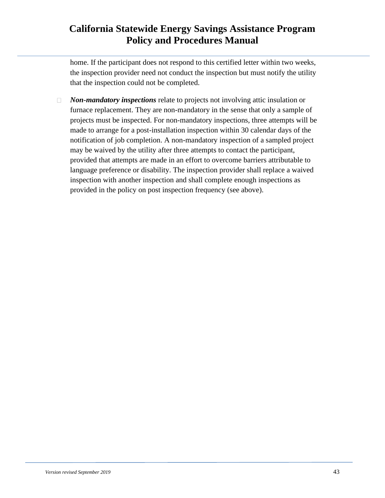home. If the participant does not respond to this certified letter within two weeks, the inspection provider need not conduct the inspection but must notify the utility that the inspection could not be completed.

*Non-mandatory inspections* relate to projects not involving attic insulation or  $\Box$ furnace replacement. They are non-mandatory in the sense that only a sample of projects must be inspected. For non-mandatory inspections, three attempts will be made to arrange for a post-installation inspection within 30 calendar days of the notification of job completion. A non-mandatory inspection of a sampled project may be waived by the utility after three attempts to contact the participant, provided that attempts are made in an effort to overcome barriers attributable to language preference or disability. The inspection provider shall replace a waived inspection with another inspection and shall complete enough inspections as provided in the policy on post inspection frequency (see above).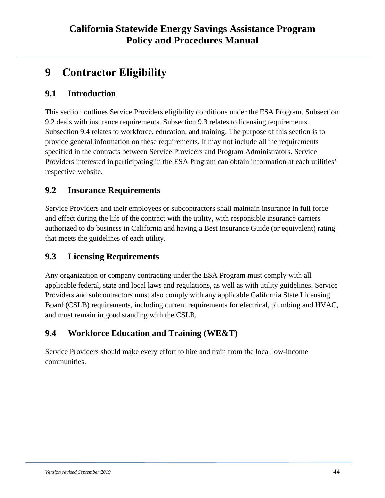# <span id="page-43-0"></span>**9 Contractor Eligibility**

### <span id="page-43-1"></span>**9.1 Introduction**

This section outlines Service Providers eligibility conditions under the ESA Program. Subsection 9.2 deals with insurance requirements. Subsection 9.3 relates to licensing requirements. Subsection 9.4 relates to workforce, education, and training. The purpose of this section is to provide general information on these requirements. It may not include all the requirements specified in the contracts between Service Providers and Program Administrators. Service Providers interested in participating in the ESA Program can obtain information at each utilities' respective website.

### <span id="page-43-2"></span>**9.2 Insurance Requirements**

Service Providers and their employees or subcontractors shall maintain insurance in full force and effect during the life of the contract with the utility, with responsible insurance carriers authorized to do business in California and having a Best Insurance Guide (or equivalent) rating that meets the guidelines of each utility.

### <span id="page-43-3"></span>**9.3 Licensing Requirements**

Any organization or company contracting under the ESA Program must comply with all applicable federal, state and local laws and regulations, as well as with utility guidelines. Service Providers and subcontractors must also comply with any applicable California State Licensing Board (CSLB) requirements, including current requirements for electrical, plumbing and HVAC, and must remain in good standing with the CSLB.

### <span id="page-43-4"></span>**9.4 Workforce Education and Training (WE&T)**

Service Providers should make every effort to hire and train from the local low-income communities.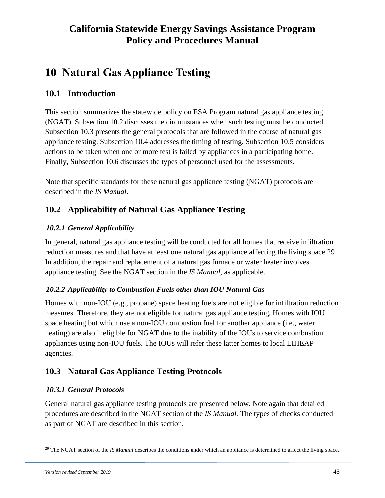# <span id="page-44-0"></span>**10 Natural Gas Appliance Testing**

### <span id="page-44-1"></span>**10.1 Introduction**

This section summarizes the statewide policy on ESA Program natural gas appliance testing (NGAT). Subsection 10.2 discusses the circumstances when such testing must be conducted. Subsection 10.3 presents the general protocols that are followed in the course of natural gas appliance testing. Subsection 10.4 addresses the timing of testing. Subsection 10.5 considers actions to be taken when one or more test is failed by appliances in a participating home. Finally, Subsection 10.6 discusses the types of personnel used for the assessments.

Note that specific standards for these natural gas appliance testing (NGAT) protocols are described in the *IS Manual*.

### <span id="page-44-2"></span>**10.2 Applicability of Natural Gas Appliance Testing**

### <span id="page-44-3"></span>*10.2.1 General Applicability*

In general, natural gas appliance testing will be conducted for all homes that receive infiltration reduction measures and that have at least one natural gas appliance affecting the living space.29 In addition, the repair and replacement of a natural gas furnace or water heater involves appliance testing. See the NGAT section in the *IS Manual*, as applicable.

### <span id="page-44-4"></span>*10.2.2 Applicability to Combustion Fuels other than IOU Natural Gas*

Homes with non-IOU (e.g., propane) space heating fuels are not eligible for infiltration reduction measures. Therefore, they are not eligible for natural gas appliance testing. Homes with IOU space heating but which use a non-IOU combustion fuel for another appliance (i.e., water heating) are also ineligible for NGAT due to the inability of the IOUs to service combustion appliances using non-IOU fuels. The IOUs will refer these latter homes to local LIHEAP agencies.

### <span id="page-44-5"></span>**10.3 Natural Gas Appliance Testing Protocols**

### <span id="page-44-6"></span>*10.3.1 General Protocols*

General natural gas appliance testing protocols are presented below. Note again that detailed procedures are described in the NGAT section of the *IS Manual.* The types of checks conducted as part of NGAT are described in this section.

<sup>&</sup>lt;sup>29</sup> The NGAT section of the *IS Manual* describes the conditions under which an appliance is determined to affect the living space.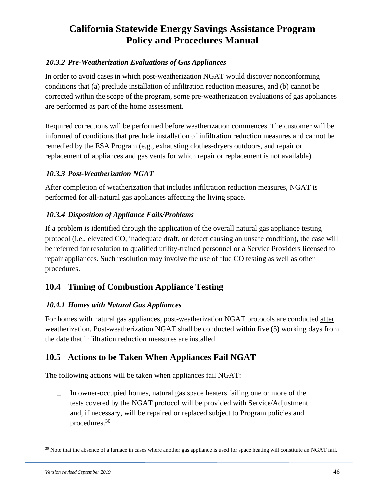### <span id="page-45-0"></span>*10.3.2 Pre-Weatherization Evaluations of Gas Appliances*

In order to avoid cases in which post-weatherization NGAT would discover nonconforming conditions that (a) preclude installation of infiltration reduction measures, and (b) cannot be corrected within the scope of the program, some pre-weatherization evaluations of gas appliances are performed as part of the home assessment.

Required corrections will be performed before weatherization commences. The customer will be informed of conditions that preclude installation of infiltration reduction measures and cannot be remedied by the ESA Program (e.g., exhausting clothes-dryers outdoors, and repair or replacement of appliances and gas vents for which repair or replacement is not available).

### <span id="page-45-1"></span>*10.3.3 Post-Weatherization NGAT*

After completion of weatherization that includes infiltration reduction measures, NGAT is performed for all-natural gas appliances affecting the living space.

### <span id="page-45-2"></span>*10.3.4 Disposition of Appliance Fails/Problems*

If a problem is identified through the application of the overall natural gas appliance testing protocol (i.e., elevated CO, inadequate draft, or defect causing an unsafe condition), the case will be referred for resolution to qualified utility-trained personnel or a Service Providers licensed to repair appliances. Such resolution may involve the use of flue CO testing as well as other procedures.

### <span id="page-45-3"></span>**10.4 Timing of Combustion Appliance Testing**

### <span id="page-45-4"></span>*10.4.1 Homes with Natural Gas Appliances*

For homes with natural gas appliances, post-weatherization NGAT protocols are conducted after weatherization. Post-weatherization NGAT shall be conducted within five (5) working days from the date that infiltration reduction measures are installed.

### <span id="page-45-5"></span>**10.5 Actions to be Taken When Appliances Fail NGAT**

The following actions will be taken when appliances fail NGAT:

 $\Box$ In owner-occupied homes, natural gas space heaters failing one or more of the tests covered by the NGAT protocol will be provided with Service/Adjustment and, if necessary, will be repaired or replaced subject to Program policies and procedures.<sup>30</sup>

<sup>&</sup>lt;sup>30</sup> Note that the absence of a furnace in cases where another gas appliance is used for space heating will constitute an NGAT fail.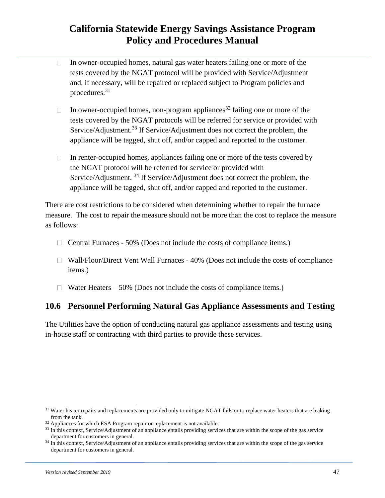- In owner-occupied homes, natural gas water heaters failing one or more of the  $\Box$ tests covered by the NGAT protocol will be provided with Service/Adjustment and, if necessary, will be repaired or replaced subject to Program policies and procedures.<sup>31</sup>
- In owner-occupied homes, non-program appliances<sup>32</sup> failing one or more of the  $\Box$ tests covered by the NGAT protocols will be referred for service or provided with Service/Adjustment.<sup>33</sup> If Service/Adjustment does not correct the problem, the appliance will be tagged, shut off, and/or capped and reported to the customer.
- In renter-occupied homes, appliances failing one or more of the tests covered by  $\Box$ the NGAT protocol will be referred for service or provided with Service/Adjustment.<sup>34</sup> If Service/Adjustment does not correct the problem, the appliance will be tagged, shut off, and/or capped and reported to the customer.

There are cost restrictions to be considered when determining whether to repair the furnace measure. The cost to repair the measure should not be more than the cost to replace the measure as follows:

- $\Box$  Central Furnaces 50% (Does not include the costs of compliance items.)
- $\Box$  Wall/Floor/Direct Vent Wall Furnaces 40% (Does not include the costs of compliance items.)
- $\Box$  Water Heaters 50% (Does not include the costs of compliance items.)

### <span id="page-46-0"></span>**10.6 Personnel Performing Natural Gas Appliance Assessments and Testing**

The Utilities have the option of conducting natural gas appliance assessments and testing using in-house staff or contracting with third parties to provide these services.

<sup>&</sup>lt;sup>31</sup> Water heater repairs and replacements are provided only to mitigate NGAT fails or to replace water heaters that are leaking from the tank.

<sup>&</sup>lt;sup>32</sup> Appliances for which ESA Program repair or replacement is not available.

<sup>&</sup>lt;sup>33</sup> In this context, Service/Adjustment of an appliance entails providing services that are within the scope of the gas service department for customers in general.

<sup>&</sup>lt;sup>34</sup> In this context, Service/Adjustment of an appliance entails providing services that are within the scope of the gas service department for customers in general.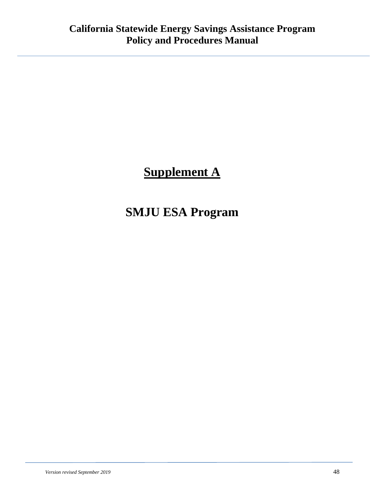# **Supplement A**

# **SMJU ESA Program**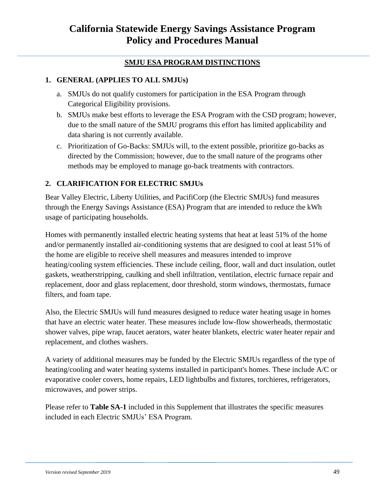### **SMJU ESA PROGRAM DISTINCTIONS**

### **1. GENERAL (APPLIES TO ALL SMJUs)**

- a. SMJUs do not qualify customers for participation in the ESA Program through Categorical Eligibility provisions.
- b. SMJUs make best efforts to leverage the ESA Program with the CSD program; however, due to the small nature of the SMJU programs this effort has limited applicability and data sharing is not currently available.
- c. Prioritization of Go-Backs: SMJUs will, to the extent possible, prioritize go-backs as directed by the Commission; however, due to the small nature of the programs other methods may be employed to manage go-back treatments with contractors.

### **2. CLARIFICATION FOR ELECTRIC SMJUs**

Bear Valley Electric, Liberty Utilities, and PacifiCorp (the Electric SMJUs) fund measures through the Energy Savings Assistance (ESA) Program that are intended to reduce the kWh usage of participating households.

Homes with permanently installed electric heating systems that heat at least 51% of the home and/or permanently installed air-conditioning systems that are designed to cool at least 51% of the home are eligible to receive shell measures and measures intended to improve heating/cooling system efficiencies. These include ceiling, floor, wall and duct insulation, outlet gaskets, weatherstripping, caulking and shell infiltration, ventilation, electric furnace repair and replacement, door and glass replacement, door threshold, storm windows, thermostats, furnace filters, and foam tape.

Also, the Electric SMJUs will fund measures designed to reduce water heating usage in homes that have an electric water heater. These measures include low-flow showerheads, thermostatic shower valves, pipe wrap, faucet aerators, water heater blankets, electric water heater repair and replacement, and clothes washers.

A variety of additional measures may be funded by the Electric SMJUs regardless of the type of heating/cooling and water heating systems installed in participant's homes. These include A/C or evaporative cooler covers, home repairs, LED lightbulbs and fixtures, torchieres, refrigerators, microwaves, and power strips.

Please refer to **Table SA-1** included in this Supplement that illustrates the specific measures included in each Electric SMJUs' ESA Program.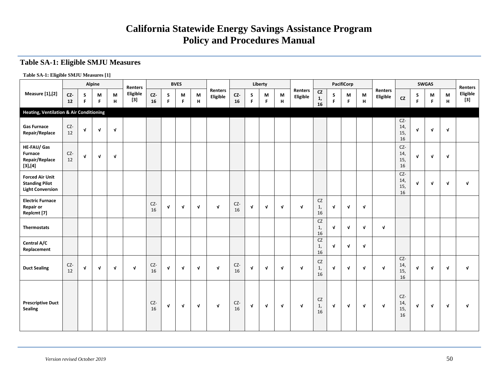#### **Table SA-1: Eligible SMJU Measures**

#### **Table SA-1: Eligible SMJU Measures [1]**

| Alpine<br><b>Measure</b> [1], [2]                                          |               |              |              | Renters      |                   |           | <b>BVES</b>  |              |              |                            |           | Liberty      |              |              |                     |                                  | <b>PacifiCorp</b> |              |              |                     |                           | <b>SWGAS</b> |              | <b>Renters</b> |                   |
|----------------------------------------------------------------------------|---------------|--------------|--------------|--------------|-------------------|-----------|--------------|--------------|--------------|----------------------------|-----------|--------------|--------------|--------------|---------------------|----------------------------------|-------------------|--------------|--------------|---------------------|---------------------------|--------------|--------------|----------------|-------------------|
|                                                                            | $cz-$<br>$12$ | S<br>F.      | M<br>F       | M<br>H       | Eligible<br>$[3]$ | CZ-<br>16 | S<br>F.      | M<br>F       | M<br>н       | <b>Renters</b><br>Eligible | CZ<br>16  | S<br>F       | М<br>F.      | M<br>н       | Renters<br>Eligible | CZ<br>1,<br>16                   | S.<br>F           | M<br>F       | M<br>H       | Renters<br>Eligible | CZ                        | S<br>F       | M<br>F.      | M<br>H         | Eligible<br>$[3]$ |
| <b>Heating, Ventilation &amp; Air Conditioning</b>                         |               |              |              |              |                   |           |              |              |              |                            |           |              |              |              |                     |                                  |                   |              |              |                     |                           |              |              |                |                   |
| <b>Gas Furnace</b><br>Repair/Replace                                       | $CZ-$<br>12   | $\mathbf{v}$ | $\mathbf{v}$ | $\mathbf{v}$ |                   |           |              |              |              |                            |           |              |              |              |                     |                                  |                   |              |              |                     | CZ-<br>14,<br>15,<br>16   | $\mathbf{v}$ | $\mathbf{v}$ | $\mathbf{v}$   |                   |
| HE-FAU/ Gas<br>Furnace<br>Repair/Replace<br>[3],[4]                        | CZ-<br>12     | $\mathbf{v}$ | $\mathbf{v}$ | $\mathbf v$  |                   |           |              |              |              |                            |           |              |              |              |                     |                                  |                   |              |              |                     | CZ-<br>14,<br>15,<br>16   | $\mathbf{v}$ | $\mathbf{v}$ | $\mathbf{v}$   |                   |
| <b>Forced Air Unit</b><br><b>Standing Pilot</b><br><b>Light Conversion</b> |               |              |              |              |                   |           |              |              |              |                            |           |              |              |              |                     |                                  |                   |              |              |                     | CZ-<br>14,<br>15,<br>16   | $\mathbf{v}$ | $\mathbf{v}$ | $\mathbf{v}$   | $\mathbf{v}$      |
| <b>Electric Furnace</b><br><b>Repair or</b><br>Replcmt [7]                 |               |              |              |              |                   | CZ-<br>16 | $\mathbf{v}$ | $\mathbf{v}$ | $\mathbf{v}$ | $\mathbf v$                | CZ-<br>16 | $\mathbf{v}$ | $\mathbf{v}$ | $\mathbf{v}$ | $\mathbf{v}$        | ${\sf CZ}$<br>1,<br>16           | $\mathbf{v}$      | $\mathbf{v}$ | $\mathbf{v}$ |                     |                           |              |              |                |                   |
| Thermostats                                                                |               |              |              |              |                   |           |              |              |              |                            |           |              |              |              |                     | ${\sf CZ}$<br>1,<br>16           | $\mathbf v$       | $\mathbf{v}$ | $\mathbf{v}$ | $\mathbf{v}$        |                           |              |              |                |                   |
| Central A/C<br>Replacement                                                 |               |              |              |              |                   |           |              |              |              |                            |           |              |              |              |                     | CZ<br>$\mathbf{1}$<br>16         | $\mathbf{v}$      | $\mathbf{v}$ | $\mathbf{v}$ |                     |                           |              |              |                |                   |
| <b>Duct Sealing</b>                                                        | CZ-<br>12     | $\mathbf{v}$ | $\mathbf{v}$ | $\mathbf{v}$ | $\mathbf{v}$      | CZ-<br>16 | $\mathbf{v}$ | $\mathbf{v}$ | $\mathbf{v}$ | $\mathbf{v}$               | CZ-<br>16 | $\mathbf v$  | $\sqrt{ }$   | $\sqrt{ }$   | $\mathbf{v}$        | ${\sf CZ}$<br>$\mathbf{1}$<br>16 | $\mathbf{v}$      | $\mathbf{v}$ | $\mathbf{v}$ | $\mathbf{v}$        | $CZ-$<br>14,<br>15,<br>16 | $\mathbf{v}$ | $\mathbf v$  | $\mathbf{v}$   | $\mathbf{v}$      |
| <b>Prescriptive Duct</b><br>Sealing                                        |               |              |              |              |                   | CZ-<br>16 | $\mathbf{v}$ | $\mathbf v$  | $\mathbf{v}$ | $\mathbf{v}$               | CZ-<br>16 | V            | $\sqrt{ }$   | $\mathbf v$  | $\mathbf{v}$        | ${\sf CZ}$<br>1,<br>16           | $\mathbf v$       | $\mathbf{v}$ | $\mathbf{v}$ | $\mathbf{v}$        | CZ-<br>14,<br>15,<br>16   | $\mathbf{v}$ | $\mathbf v$  | V              | $\mathbf{v}$      |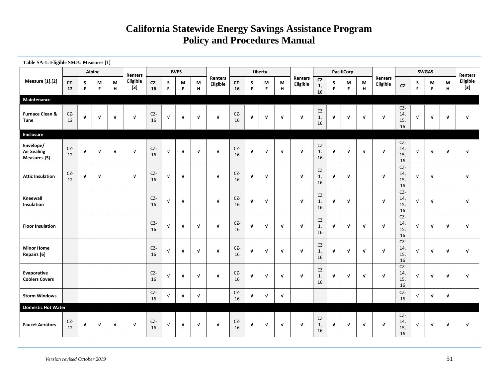| Table SA-1: Eligible SMJU Measures [1]<br>Alpine |           |              |              |              |                   |           |              |              |                  |                     |           |              |              |                  |                     |                       |                  |                   |              |                     |                           |                  |              |              |                          |
|--------------------------------------------------|-----------|--------------|--------------|--------------|-------------------|-----------|--------------|--------------|------------------|---------------------|-----------|--------------|--------------|------------------|---------------------|-----------------------|------------------|-------------------|--------------|---------------------|---------------------------|------------------|--------------|--------------|--------------------------|
|                                                  |           |              |              |              | Renters           |           |              | <b>BVES</b>  |                  |                     |           |              | Liberty      |                  |                     |                       |                  | <b>PacifiCorp</b> |              |                     |                           |                  | <b>SWGAS</b> |              | <b>Renters</b>           |
| <b>Measure</b> [1], [2]                          | CZ-<br>12 | S<br>F       | М<br>F.      | М<br>н       | Eligible<br>$[3]$ | CZ-<br>16 | S<br>F.      | M<br>F       | М<br>$\mathsf H$ | Renters<br>Eligible | CZ-<br>16 | S<br>F       | M<br>F       | M<br>$\mathbf H$ | Renters<br>Eligible | <b>CZ</b><br>1,<br>16 | S<br>$\mathsf F$ | М<br>F            | M<br>н       | Renters<br>Eligible | cz                        | S<br>$\mathsf F$ | М<br>F.      | M<br>H       | <b>Eligible</b><br>$[3]$ |
| <b>Maintenance</b>                               |           |              |              |              |                   |           |              |              |                  |                     |           |              |              |                  |                     |                       |                  |                   |              |                     |                           |                  |              |              |                          |
| <b>Furnace Clean &amp;</b><br>Tune               | CZ-<br>12 | V            | V            | V            | $\mathbf{v}$      | CZ-<br>16 | $\mathbf v$  | $\mathbf{V}$ | $\sqrt{ }$       | $\sqrt{ }$          | CZ-<br>16 | V            | $\sqrt{ }$   | $\sqrt{ }$       | $\mathbf{v}$        | CZ<br>1,<br>16        | V                | $\mathbf{v}$      | $\mathbf{v}$ | $\mathbf v$         | CZ-<br>14,<br>15,<br>16   | V                | V            | $\mathbf v$  | $\mathbf v$              |
| <b>Enclosure</b>                                 |           |              |              |              |                   |           |              |              |                  |                     |           |              |              |                  |                     |                       |                  |                   |              |                     |                           |                  |              |              |                          |
| Envelope/<br><b>Air Sealing</b><br>Measures [5]  | CZ-<br>12 | V            | $\mathbf v$  | $\mathbf{v}$ | $\mathbf{v}$      | CZ-<br>16 | $\mathbf{v}$ | $\mathbf{v}$ | $\sqrt{ }$       | $\mathbf{v}$        | CZ-<br>16 | $\mathbf v$  | $\mathbf{v}$ | $\sqrt{ }$       | $\sqrt{ }$          | CZ<br>1,<br>16        | $\mathbf{v}$     | $\mathbf{v}$      | $\mathbf{v}$ | $\mathbf v$         | CZ-<br>14,<br>15,<br>16   | $\mathbf{v}$     | $\mathbf{v}$ | $\mathbf{v}$ | $\mathbf v$              |
| <b>Attic Insulation</b>                          | CZ-<br>12 | $\mathbf{v}$ | $\mathbf v$  |              | $\mathbf{v}$      | CZ-<br>16 | $\mathbf{v}$ | V            |                  | $\sqrt{ }$          | CZ-<br>16 | $\mathbf v$  | V            |                  | $\mathbf v$         | CZ<br>1,<br>16        | $\mathbf{V}$     | $\mathbf{v}$      |              | $\mathbf{v}$        | $CZ-$<br>14,<br>15,<br>16 | V                | $\mathbf{V}$ |              | $\mathbf v$              |
| Kneewall<br>Insulation                           |           |              |              |              |                   | CZ-<br>16 | $\mathbf{v}$ | $\sqrt{ }$   |                  | $\mathbf{v}$        | CZ-<br>16 | $\mathbf v$  | $\mathbf{v}$ |                  | $\mathbf{v}$        | CZ<br>1,<br>16        | $\mathbf{v}$     | $\mathbf{v}$      |              | $\mathbf{v}$        | CZ-<br>14,<br>15,<br>16   | $\mathbf{v}$     | $\mathbf{v}$ |              | $\mathbf{v}$             |
| <b>Floor Insulation</b>                          |           |              |              |              |                   | CZ-<br>16 | $\mathbf{V}$ | V            | $\sqrt{ }$       | $\mathbf{v}$        | CZ-<br>16 | $\mathbf{v}$ | $\mathbf{v}$ | $\sqrt{ }$       | $\sqrt{ }$          | CZ<br>1,<br>16        | $\sqrt{ }$       | $\mathbf{v}$      | $\mathbf{v}$ | $\mathbf{v}$        | CZ-<br>14,<br>15,<br>16   | $\mathbf{v}$     | $\mathbf{V}$ | $\mathbf{v}$ | $\mathbf v$              |
| <b>Minor Home</b><br>Repairs [6]                 |           |              |              |              |                   | CZ-<br>16 | $\mathbf{v}$ | V            | $\sqrt{ }$       | $\mathbf{v}$        | CZ-<br>16 | $\mathbf v$  | $\mathbf v$  | $\sqrt{ }$       | $\mathbf{V}$        | CZ<br>1,<br>16        | $\mathbf{v}$     | $\mathbf{v}$      | $\mathbf{v}$ | $\mathbf{v}$        | CZ-<br>14,<br>15,<br>16   | $\mathbf{v}$     | V            | $\mathbf{v}$ | $\mathbf v$              |
| Evaporative<br><b>Coolers Covers</b>             |           |              |              |              |                   | CZ-<br>16 | $\sqrt{ }$   | V            | $\sqrt{ }$       | $\mathbf{v}$        | CZ-<br>16 | $\mathbf{v}$ | $\sqrt{ }$   | $\mathbf{v}$     | $\mathbf{V}$        | CZ<br>1,<br>16        | $\sqrt{ }$       | $\mathbf{v}$      | $\mathbf{v}$ | $\mathbf{V}$        | CZ-<br>14,<br>15,<br>16   | $\mathbf{v}$     | V            | $\mathbf{v}$ | V                        |
| <b>Storm Windows</b>                             |           |              |              |              |                   | CZ-<br>16 | $\mathbf{V}$ | V            | V                |                     | CZ-<br>16 | $\mathbf{v}$ | V            | $\sqrt{ }$       |                     |                       |                  |                   |              |                     | CZ-<br>16                 | $\mathbf v$      | V            | V            |                          |
| <b>Domestic Hot Water</b>                        |           |              |              |              |                   |           |              |              |                  |                     |           |              |              |                  |                     |                       |                  |                   |              |                     |                           |                  |              |              |                          |
| <b>Faucet Aerators</b>                           | CZ-<br>12 | $\mathbf{v}$ | $\mathbf{v}$ | $\mathbf{V}$ | $\mathbf{v}$      | CZ-<br>16 | $\mathbf v$  | $\mathbf v$  | $\mathbf{v}$     | $\mathbf{v}$        | CZ-<br>16 | $\mathbf{v}$ | $\mathbf{v}$ | $\mathbf{v}$     | $\mathbf{v}$        | CZ<br>1,<br>16        | $\mathbf{v}$     | $\mathbf{v}$      | $\mathbf{v}$ | $\mathbf{v}$        | CZ-<br>14,<br>15,<br>16   | $\mathbf{v}$     | $\mathbf{v}$ | $\mathbf{v}$ | $\mathbf{v}$             |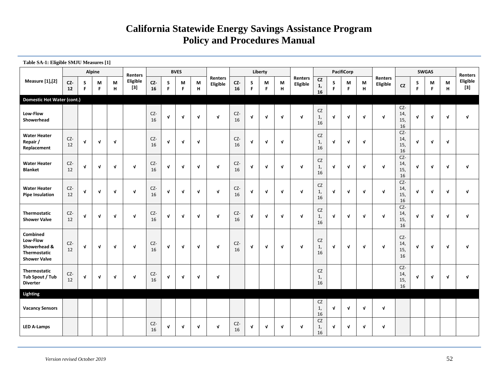| Table SA-1: Eligible SMJU Measures [1]                                      |           |              |               |              |                   |                   |              |              |                  |                     |           |              |              |              |                     |                        |              |                   |              |                     |                           |              |              |              |                   |
|-----------------------------------------------------------------------------|-----------|--------------|---------------|--------------|-------------------|-------------------|--------------|--------------|------------------|---------------------|-----------|--------------|--------------|--------------|---------------------|------------------------|--------------|-------------------|--------------|---------------------|---------------------------|--------------|--------------|--------------|-------------------|
|                                                                             |           |              | <b>Alpine</b> |              | Renters           |                   |              | <b>BVES</b>  |                  |                     |           |              | Liberty      |              |                     |                        |              | <b>PacifiCorp</b> |              |                     |                           |              | <b>SWGAS</b> |              | <b>Renters</b>    |
| Measure [1],[2]                                                             | CZ-<br>12 | S<br>F       | М<br>F        | M<br>н       | Eligible<br>$[3]$ | CZ-<br>${\bf 16}$ | s<br>F       | M<br>F       | M<br>$\mathbf H$ | Renters<br>Eligible | CZ-<br>16 | S<br>F       | М<br>F       | М<br>$\,$ H  | Renters<br>Eligible | CZ<br>1,<br>16         | S<br>F       | M<br>$\mathsf F$  | М<br>н       | Renters<br>Eligible | cz                        | S<br>F       | М<br>F.      | М<br>н       | Eligible<br>$[3]$ |
| <b>Domestic Hot Water (cont.)</b>                                           |           |              |               |              |                   |                   |              |              |                  |                     |           |              |              |              |                     |                        |              |                   |              |                     |                           |              |              |              |                   |
| Low-Flow<br>Showerhead                                                      |           |              |               |              |                   | CZ-<br>16         | $\mathbf{v}$ | $\mathbf{V}$ | $\mathbf{v}$     | $\mathbf{v}$        | CZ-<br>16 | $\mathbf{V}$ | $\mathbf{v}$ | $\sqrt{ }$   | $\mathbf{v}$        | CZ<br>1,<br>16         | $\sqrt{ }$   | $\mathbf{v}$      | $\mathbf{V}$ | $\mathbf{v}$        | CZ-<br>14,<br>15,<br>16   | $\mathbf{v}$ | $\mathbf{v}$ | $\mathbf{v}$ | $\mathbf{v}$      |
| <b>Water Heater</b><br>Repair /<br>Replacement                              | CZ-<br>12 | $\mathbf{v}$ | $\mathbf v$   | V            |                   | CZ-<br>16         | $\mathbf{v}$ | V            | $\mathbf{V}$     |                     | CZ-<br>16 | $\mathbf{v}$ | V            | $\mathbf{V}$ |                     | CZ<br>1,<br>16         | $\mathbf{V}$ | $\mathbf{v}$      | $\mathbf{v}$ |                     | CZ-<br>14,<br>15,<br>16   | $\mathbf{V}$ | $\mathbf{v}$ | $\mathbf{V}$ |                   |
| <b>Water Heater</b><br><b>Blanket</b>                                       | CZ-<br>12 | $\mathbf{v}$ | $\mathbf v$   | V            | $\mathbf{v}$      | CZ-<br>16         | V            | V            | $\mathbf{V}$     | $\mathbf{v}$        | CZ-<br>16 | $\mathbf v$  | $\mathbf{V}$ | $\mathbf{V}$ | $\mathbf{v}$        | <b>CZ</b><br>1,<br>16  | V            | $\mathbf{v}$      | $\mathbf{v}$ | $\mathbf v$         | CZ-<br>14,<br>15,<br>16   | $\mathbf{v}$ | $\mathbf{v}$ | $\mathbf{V}$ | $\mathbf{v}$      |
| <b>Water Heater</b><br><b>Pipe Insulation</b>                               | CZ-<br>12 | $\mathbf{v}$ | V             | $\mathbf v$  | $\mathbf{v}$      | CZ-<br>16         | $\mathbf{v}$ | $\mathbf{V}$ | $\mathbf{v}$     | $\mathbf{v}$        | CZ-<br>16 | $\mathbf v$  | $\mathbf v$  | $\mathbf{v}$ | $\mathbf{v}$        | CZ<br>1,<br>16         | $\mathbf v$  | $\mathbf{v}$      | $\mathbf{v}$ | $\mathbf{v}$        | CZ-<br>14,<br>15,<br>16   | $\mathbf{v}$ | v            | $\mathbf{V}$ | $\mathbf{v}$      |
| Thermostatic<br><b>Shower Valve</b>                                         | CZ-<br>12 | V            | $\mathbf v$   | $\mathbf{v}$ | $\mathbf{v}$      | CZ-<br>16         | $\mathbf{v}$ | $\mathbf{V}$ | $\mathbf{v}$     | $\mathbf{v}$        | CZ-<br>16 | $\mathbf{v}$ | $\mathbf{v}$ | $\mathbf{V}$ | $\mathbf{v}$        | CZ<br>1,<br>16         | $\mathbf{v}$ | $\mathbf{v}$      | $\mathbf{v}$ | $\mathbf v$         | $CZ-$<br>14,<br>15,<br>16 | $\mathbf{V}$ | $\mathbf{v}$ | $\mathbf{v}$ | $\mathbf{v}$      |
| Combined<br>Low-Flow<br>Showerhead &<br>Thermostatic<br><b>Shower Valve</b> | CZ-<br>12 | V            | V             | $\mathbf{v}$ | $\mathbf{v}$      | CZ-<br>16         | $\mathbf{v}$ | V            | $\mathbf{v}$     | $\mathbf{v}$        | CZ-<br>16 | $\mathbf{V}$ | $\mathbf{V}$ | $\mathbf{v}$ | $\mathbf{v}$        | CZ<br>1,<br>16         | $\mathbf{V}$ | $\mathbf v$       | $\mathbf{v}$ | $\mathbf{v}$        | CZ-<br>14,<br>15,<br>16   | $\mathbf{v}$ | v            | $\mathbf{V}$ | $\mathbf{v}$      |
| Thermostatic<br>Tub Spout / Tub<br><b>Diverter</b>                          | CZ-<br>12 | $\mathbf{v}$ | $\mathbf v$   | $\mathbf{v}$ | $\mathbf{v}$      | CZ-<br>16         | $\mathbf{v}$ | $\mathbf{V}$ | $\sqrt{ }$       | $\mathbf v$         |           |              |              |              |                     | <b>CZ</b><br>1,<br>16  |              |                   |              |                     | CZ-<br>14,<br>15,<br>16   | $\mathbf{v}$ | $\mathbf{v}$ | $\mathbf{v}$ | $\mathbf{v}$      |
| Lighting                                                                    |           |              |               |              |                   |                   |              |              |                  |                     |           |              |              |              |                     |                        |              |                   |              |                     |                           |              |              |              |                   |
| <b>Vacancy Sensors</b>                                                      |           |              |               |              |                   |                   |              |              |                  |                     |           |              |              |              |                     | <b>CZ</b><br>1,<br>16  | $\mathbf v$  | $\sqrt{ }$        | $\mathbf{v}$ | V                   |                           |              |              |              |                   |
| <b>LED A-Lamps</b>                                                          |           |              |               |              |                   | CZ-<br>16         | $\mathbf{V}$ | V            | $\mathbf{v}$     | $\mathbf{v}$        | CZ-<br>16 | $\mathbf{v}$ | $\mathbf v$  | $\mathbf{V}$ | $\mathbf{v}$        | ${\sf CZ}$<br>1,<br>16 | V            | $\mathbf v$       | V            | V                   |                           |              |              |              |                   |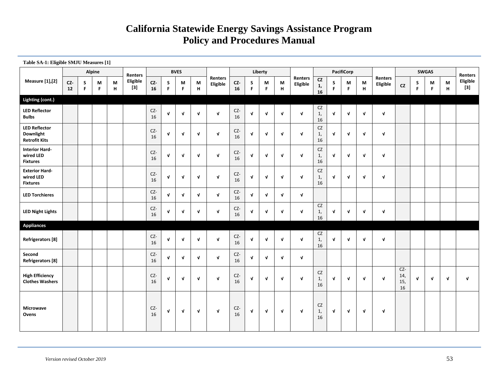| Table SA-1: Eligible SMJU Measures [1]                    |           |        |         |        |                   |           |              |              |              |                     |                             |              |              |              |                            |                       |                          |                  |              |                     |                         |                  |              |                  |                   |
|-----------------------------------------------------------|-----------|--------|---------|--------|-------------------|-----------|--------------|--------------|--------------|---------------------|-----------------------------|--------------|--------------|--------------|----------------------------|-----------------------|--------------------------|------------------|--------------|---------------------|-------------------------|------------------|--------------|------------------|-------------------|
|                                                           |           |        | Alpine  |        | <b>Renters</b>    |           |              | <b>BVES</b>  |              |                     |                             |              | Liberty      |              |                            |                       |                          | PacifiCorp       |              |                     |                         |                  | <b>SWGAS</b> |                  | Renters           |
| <b>Measure</b> [1],[2]                                    | CZ-<br>12 | S<br>F | М<br>F. | M<br>н | Eligible<br>$[3]$ | CZ-<br>16 | S<br>F.      | М<br>F.      | M<br>н       | Renters<br>Eligible | $\mathsf{CZ}\text{-}$<br>16 | S<br>F       | М<br>F.      | M<br>H       | <b>Renters</b><br>Eligible | CZ<br>1,<br>16        | ${\sf s}$<br>$\mathsf F$ | M<br>$\mathsf F$ | M<br>н       | Renters<br>Eligible | CZ                      | S<br>$\mathsf F$ | М<br>F.      | M<br>$\mathbf H$ | Eligible<br>$[3]$ |
| Lighting (cont.)                                          |           |        |         |        |                   |           |              |              |              |                     |                             |              |              |              |                            |                       |                          |                  |              |                     |                         |                  |              |                  |                   |
| <b>LED Reflector</b><br><b>Bulbs</b>                      |           |        |         |        |                   | CZ-<br>16 | V            | $\sqrt{ }$   | $\mathbf v$  | $\mathbf v$         | CZ-<br>16                   | $\mathbf{v}$ | $\mathbf{V}$ | V            | $\mathbf{v}$               | CZ<br>1,<br>16        | $\mathbf{v}$             | $\mathbf{v}$     | $\mathbf{v}$ | $\mathbf{v}$        |                         |                  |              |                  |                   |
| <b>LED Reflector</b><br>Downlight<br><b>Retrofit Kits</b> |           |        |         |        |                   | CZ-<br>16 | $\mathbf v$  | $\mathbf{v}$ | $\mathbf v$  | $\mathbf{v}$        | CZ-<br>16                   | $\mathbf{V}$ | $\mathbf{v}$ | V            | $\sqrt{ }$                 | CZ<br>1,<br>16        | $\mathbf{v}$             | $\mathbf{v}$     | $\mathbf{v}$ | V                   |                         |                  |              |                  |                   |
| <b>Interior Hard-</b><br>wired LED<br><b>Fixtures</b>     |           |        |         |        |                   | CZ-<br>16 | V            | $\sqrt{ }$   | $\mathbf v$  | $\mathbf{v}$        | CZ-<br>16                   | $\mathbf{V}$ | $\mathbf{v}$ | V            | $\mathbf{v}$               | CZ<br>1,<br>16        | $\sqrt{ }$               | $\mathbf{v}$     | $\mathbf{v}$ | V                   |                         |                  |              |                  |                   |
| <b>Exterior Hard-</b><br>wired LED<br><b>Fixtures</b>     |           |        |         |        |                   | CZ-<br>16 | V            | $\sqrt{ }$   | $\mathbf{v}$ | $\mathbf{v}$        | CZ-<br>16                   | $\mathbf{V}$ | $\mathbf{V}$ | V            | $\mathbf{V}$               | CZ<br>1,<br>16        | $\mathbf{v}$             | $\mathbf{v}$     | $\mathbf{v}$ | V                   |                         |                  |              |                  |                   |
| <b>LED Torchieres</b>                                     |           |        |         |        |                   | CZ-<br>16 | V            | $\sqrt{ }$   | $\mathbf v$  | $\mathbf v$         | CZ-<br>16                   | $\mathbf{V}$ | $\mathbf{V}$ | $\mathbf{v}$ | $\sqrt{ }$                 |                       |                          |                  |              |                     |                         |                  |              |                  |                   |
| <b>LED Night Lights</b>                                   |           |        |         |        |                   | CZ-<br>16 | V            | $\mathbf{v}$ | $\mathbf{V}$ | $\mathbf{v}$        | CZ-<br>16                   | $\mathbf{V}$ | $\mathbf{v}$ | $\mathbf{v}$ | $\sqrt{ }$                 | CZ<br>1,<br>16        | $\mathbf{v}$             | $\mathbf{v}$     | $\mathbf{v}$ | V                   |                         |                  |              |                  |                   |
| <b>Appliances</b>                                         |           |        |         |        |                   |           |              |              |              |                     |                             |              |              |              |                            |                       |                          |                  |              |                     |                         |                  |              |                  |                   |
| Refrigerators [8]                                         |           |        |         |        |                   | CZ-<br>16 | $\mathbf{v}$ | $\mathbf{V}$ | $\mathbf{v}$ | $\mathbf v$         | CZ-<br>16                   | $\mathbf{v}$ | $\sqrt{ }$   | $\mathbf{v}$ | $\mathbf{v}$               | <b>CZ</b><br>1,<br>16 | $\mathbf{v}$             | $\mathbf{v}$     | $\mathbf{v}$ | $\mathbf v$         |                         |                  |              |                  |                   |
| Second<br><b>Refrigerators [8]</b>                        |           |        |         |        |                   | CZ-<br>16 | $\sqrt{ }$   | $\mathbf{v}$ | $\mathbf{V}$ | $\mathbf v$         | CZ-<br>16                   | $\mathbf{v}$ | $\mathbf{v}$ | $\mathbf{v}$ | $\sqrt{ }$                 |                       |                          |                  |              |                     |                         |                  |              |                  |                   |
| <b>High Efficiency</b><br><b>Clothes Washers</b>          |           |        |         |        |                   | CZ-<br>16 | V            | $\sqrt{ }$   | $\mathbf v$  | $\mathbf{v}$        | CZ-<br>16                   | $\mathbf{V}$ | $\mathbf{V}$ | $\mathbf{v}$ | $\mathbf{v}$               | CZ<br>1,<br>16        | $\mathbf{v}$             | $\mathbf{v}$     | $\mathbf{v}$ | $\mathbf v$         | CZ-<br>14,<br>15,<br>16 | $\sqrt{ }$       | $\mathbf{v}$ | $\mathbf{v}$     | V                 |
| <b>Microwave</b><br>Ovens                                 |           |        |         |        |                   | CZ-<br>16 | $\mathbf v$  | $\sqrt{ }$   | $\sqrt{ }$   | $\mathbf v$         | CZ-<br>16                   | $\mathbf v$  | $\mathbf v$  | $\sqrt{ }$   | $\mathbf{v}$               | CZ<br>1,<br>16        | $\mathbf v$              | $\sqrt{ }$       | $\mathbf{v}$ | V                   |                         |                  |              |                  |                   |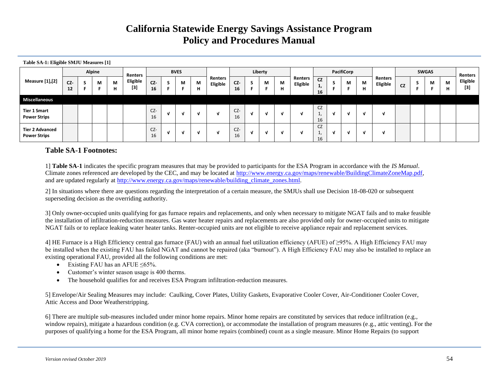| Table SA-1: Eligible SMJU Measures [1]        |           |        |        |                 |           |                |             |        |                     |             |   |         |        |                     |                             |   |            |        |                     |           |              |        |                   |
|-----------------------------------------------|-----------|--------|--------|-----------------|-----------|----------------|-------------|--------|---------------------|-------------|---|---------|--------|---------------------|-----------------------------|---|------------|--------|---------------------|-----------|--------------|--------|-------------------|
|                                               |           | Alpine |        | Renters         |           |                | <b>BVES</b> |        |                     |             |   | Liberty |        |                     |                             |   | PacifiCorp |        |                     |           | <b>SWGAS</b> |        | Renters           |
| <b>Measure [1],[2]</b>                        | CZ-<br>12 | М      | M<br>н | Eligible<br>[3] | CZ-<br>16 |                | M           | M<br>н | Renters<br>Eligible | CZ-<br>16   | э | М       | M<br>н | Renters<br>Eligible | <b>CZ</b><br>л,<br>16       | э | М          | М<br>н | Renters<br>Eligible | <b>CZ</b> | М            | M<br>н | Eligible<br>$[3]$ |
| <b>Miscellaneous</b>                          |           |        |        |                 |           |                |             |        |                     |             |   |         |        |                     |                             |   |            |        |                     |           |              |        |                   |
| <b>Tier 1 Smart</b><br><b>Power Strips</b>    |           |        |        |                 | CZ-<br>16 | - 1            |             |        | V                   | $CZ-$<br>16 | M | N       |        | ۰.                  | <b>CZ</b><br><b>.</b><br>16 | V | - 30       |        |                     |           |              |        |                   |
| <b>Tier 2 Advanced</b><br><b>Power Strips</b> |           |        |        |                 | CZ-<br>16 | $\blacksquare$ |             |        | v                   | CZ-<br>16   | M | N       |        | -1                  | <b>CZ</b><br><b>.</b><br>16 | v | - 31       |        |                     |           |              |        |                   |

#### **Table SA-1 Footnotes:**

1] **Table SA-1** indicates the specific program measures that may be provided to participants for the ESA Program in accordance with the *IS Manual*. Climate zones referenced are developed by the CEC, and may be located at [http://www.energy.ca.gov/maps/renewable/BuildingClimateZoneMap.pdf,](http://www.energy.ca.gov/maps/renewable/BuildingClimateZoneMap.pdf) and are updated regularly at [http://www.energy.ca.gov/maps/renewable/building\\_climate\\_zones.html.](http://www.energy.ca.gov/maps/renewable/building_climate_zones.html)

2] In situations where there are questions regarding the interpretation of a certain measure, the SMJUs shall use Decision 18-08-020 or subsequent superseding decision as the overriding authority.

3] Only owner-occupied units qualifying for gas furnace repairs and replacements, and only when necessary to mitigate NGAT fails and to make feasible the installation of infiltration-reduction measures. Gas water heater repairs and replacements are also provided only for owner-occupied units to mitigate NGAT fails or to replace leaking water heater tanks. Renter-occupied units are not eligible to receive appliance repair and replacement services.

4] HE Furnace is a High Efficiency central gas furnace (FAU) with an annual fuel utilization efficiency (AFUE) of ≥95%. A High Efficiency FAU may be installed when the existing FAU has failed NGAT and cannot be repaired (aka "burnout"). A High Efficiency FAU may also be installed to replace an existing operational FAU, provided all the following conditions are met:

- Existing FAU has an AFUE  $\leq 65\%$ .
- Customer's winter season usage is 400 therms.
- The household qualifies for and receives ESA Program infiltration-reduction measures.

5] Envelope/Air Sealing Measures may include: Caulking, Cover Plates, Utility Gaskets, Evaporative Cooler Cover, Air-Conditioner Cooler Cover, Attic Access and Door Weatherstripping.

6] There are multiple sub-measures included under minor home repairs. Minor home repairs are constituted by services that reduce infiltration (e.g., window repairs), mitigate a hazardous condition (e.g. CVA correction), or accommodate the installation of program measures (e.g., attic venting). For the purposes of qualifying a home for the ESA Program, all minor home repairs (combined) count as a single measure. Minor Home Repairs (to support